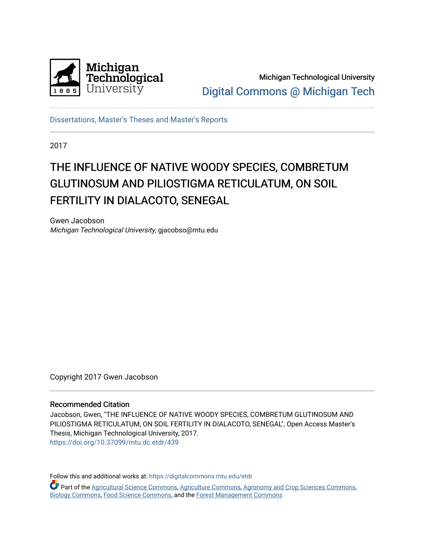

Michigan Technological University [Digital Commons @ Michigan Tech](https://digitalcommons.mtu.edu/) 

[Dissertations, Master's Theses and Master's Reports](https://digitalcommons.mtu.edu/etdr)

2017

# THE INFLUENCE OF NATIVE WOODY SPECIES, COMBRETUM GLUTINOSUM AND PILIOSTIGMA RETICULATUM, ON SOIL FERTILITY IN DIALACOTO, SENEGAL

Gwen Jacobson Michigan Technological University, gjacobso@mtu.edu

Copyright 2017 Gwen Jacobson

### Recommended Citation

Jacobson, Gwen, "THE INFLUENCE OF NATIVE WOODY SPECIES, COMBRETUM GLUTINOSUM AND PILIOSTIGMA RETICULATUM, ON SOIL FERTILITY IN DIALACOTO, SENEGAL", Open Access Master's Thesis, Michigan Technological University, 2017. <https://doi.org/10.37099/mtu.dc.etdr/439>

Follow this and additional works at: [https://digitalcommons.mtu.edu/etdr](https://digitalcommons.mtu.edu/etdr?utm_source=digitalcommons.mtu.edu%2Fetdr%2F439&utm_medium=PDF&utm_campaign=PDFCoverPages) 

Part of the [Agricultural Science Commons](http://network.bepress.com/hgg/discipline/1063?utm_source=digitalcommons.mtu.edu%2Fetdr%2F439&utm_medium=PDF&utm_campaign=PDFCoverPages), [Agriculture Commons,](http://network.bepress.com/hgg/discipline/1076?utm_source=digitalcommons.mtu.edu%2Fetdr%2F439&utm_medium=PDF&utm_campaign=PDFCoverPages) [Agronomy and Crop Sciences Commons](http://network.bepress.com/hgg/discipline/103?utm_source=digitalcommons.mtu.edu%2Fetdr%2F439&utm_medium=PDF&utm_campaign=PDFCoverPages), [Biology Commons](http://network.bepress.com/hgg/discipline/41?utm_source=digitalcommons.mtu.edu%2Fetdr%2F439&utm_medium=PDF&utm_campaign=PDFCoverPages), [Food Science Commons,](http://network.bepress.com/hgg/discipline/84?utm_source=digitalcommons.mtu.edu%2Fetdr%2F439&utm_medium=PDF&utm_campaign=PDFCoverPages) and the [Forest Management Commons](http://network.bepress.com/hgg/discipline/92?utm_source=digitalcommons.mtu.edu%2Fetdr%2F439&utm_medium=PDF&utm_campaign=PDFCoverPages)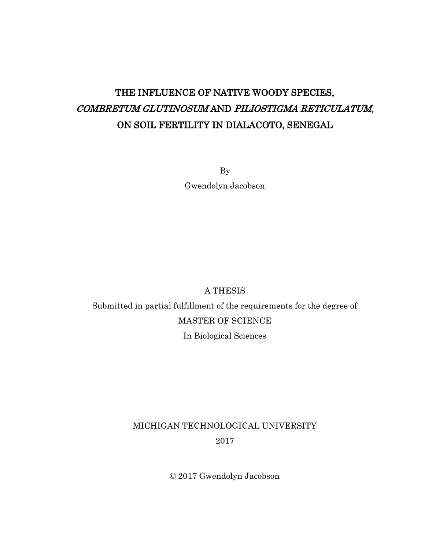# THE INFLUENCE OF NATIVE WOODY SPECIES, COMBRETUM GLUTINOSUM AND PILIOSTIGMA RETICULATUM, ON SOIL FERTILITY IN DIALACOTO, SENEGAL

By Gwendolyn Jacobson

# A THESIS

Submitted in partial fulfillment of the requirements for the degree of MASTER OF SCIENCE In Biological Sciences

# MICHIGAN TECHNOLOGICAL UNIVERSITY 2017

© 2017 Gwendolyn Jacobson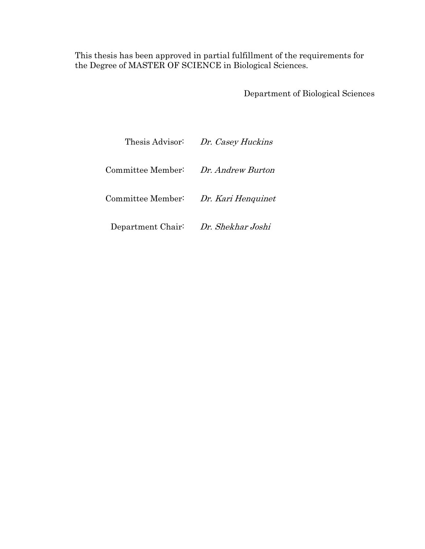This thesis has been approved in partial fulfillment of the requirements for the Degree of MASTER OF SCIENCE in Biological Sciences.

Department of Biological Sciences

|                                     | Thesis Advisor: Dr. Casey Huckins |
|-------------------------------------|-----------------------------------|
| Committee Member:                   | Dr. Andrew Burton                 |
| Committee Member:                   | Dr. Kari Henquinet                |
| Department Chair: Dr. Shekhar Joshi |                                   |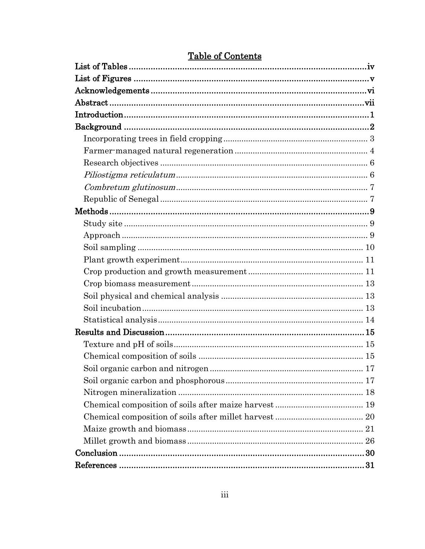# **Table of Contents**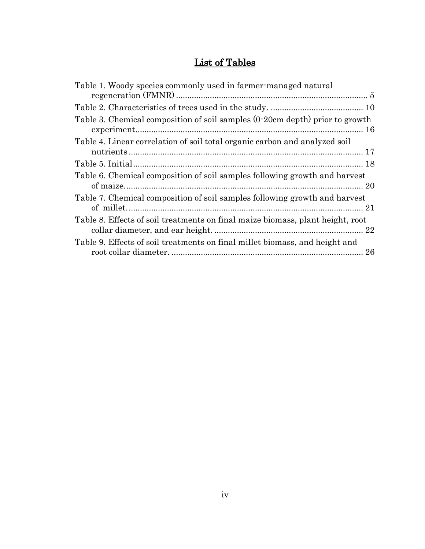# List of Tables

| Table 1. Woody species commonly used in farmer-managed natural                 |
|--------------------------------------------------------------------------------|
|                                                                                |
|                                                                                |
| Table 3. Chemical composition of soil samples (0-20cm depth) prior to growth   |
| Table 4. Linear correlation of soil total organic carbon and analyzed soil     |
|                                                                                |
|                                                                                |
| Table 6. Chemical composition of soil samples following growth and harvest     |
|                                                                                |
| Table 7. Chemical composition of soil samples following growth and harvest     |
|                                                                                |
| Table 8. Effects of soil treatments on final maize biomass, plant height, root |
|                                                                                |
| Table 9. Effects of soil treatments on final millet biomass, and height and    |
|                                                                                |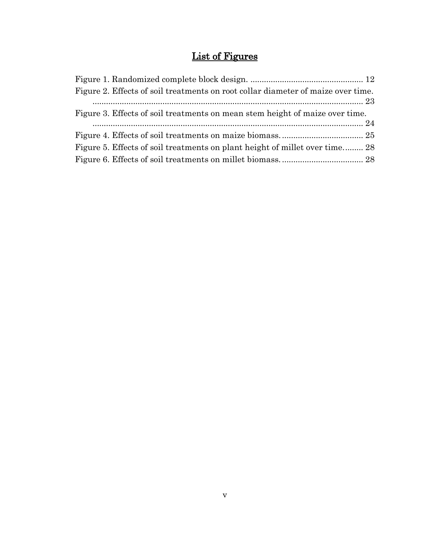# List of Figures

| Figure 2. Effects of soil treatments on root collar diameter of maize over time. |  |
|----------------------------------------------------------------------------------|--|
| Figure 3. Effects of soil treatments on mean stem height of maize over time.     |  |
|                                                                                  |  |
| Figure 5. Effects of soil treatments on plant height of millet over time 28      |  |
|                                                                                  |  |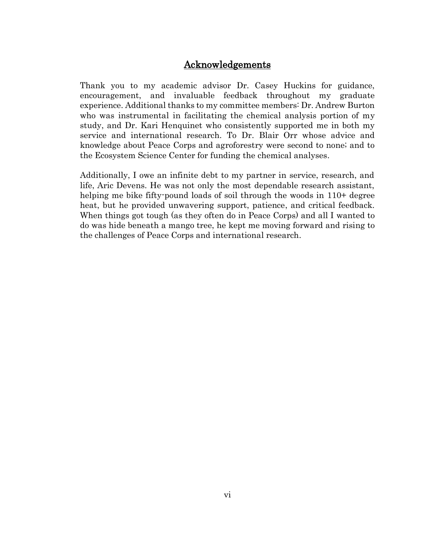# Acknowledgements

Thank you to my academic advisor Dr. Casey Huckins for guidance, encouragement, and invaluable feedback throughout my graduate experience. Additional thanks to my committee members: Dr. Andrew Burton who was instrumental in facilitating the chemical analysis portion of my study, and Dr. Kari Henquinet who consistently supported me in both my service and international research. To Dr. Blair Orr whose advice and knowledge about Peace Corps and agroforestry were second to none; and to the Ecosystem Science Center for funding the chemical analyses.

Additionally, I owe an infinite debt to my partner in service, research, and life, Aric Devens. He was not only the most dependable research assistant, helping me bike fifty-pound loads of soil through the woods in 110+ degree heat, but he provided unwavering support, patience, and critical feedback. When things got tough (as they often do in Peace Corps) and all I wanted to do was hide beneath a mango tree, he kept me moving forward and rising to the challenges of Peace Corps and international research.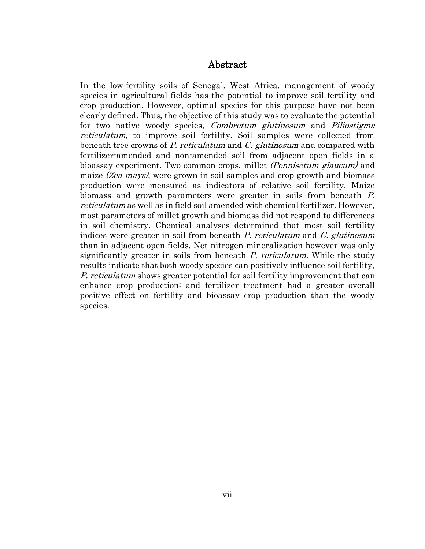## Abstract

In the low-fertility soils of Senegal, West Africa, management of woody species in agricultural fields has the potential to improve soil fertility and crop production. However, optimal species for this purpose have not been clearly defined. Thus, the objective of this study was to evaluate the potential for two native woody species, *Combretum glutinosum* and *Piliostigma* reticulatum, to improve soil fertility. Soil samples were collected from beneath tree crowns of P. reticulatum and C. glutinosum and compared with fertilizer-amended and non-amended soil from adjacent open fields in a bioassay experiment. Two common crops, millet *(Pennisetum glaucum)* and maize (Zea mays), were grown in soil samples and crop growth and biomass production were measured as indicators of relative soil fertility. Maize biomass and growth parameters were greater in soils from beneath P. reticulatum as well as in field soil amended with chemical fertilizer. However, most parameters of millet growth and biomass did not respond to differences in soil chemistry. Chemical analyses determined that most soil fertility indices were greater in soil from beneath  $P$ . reticulatum and  $C$ . glutinosum than in adjacent open fields. Net nitrogen mineralization however was only significantly greater in soils from beneath P. reticulatum. While the study results indicate that both woody species can positively influence soil fertility, P. reticulatum shows greater potential for soil fertility improvement that can enhance crop production; and fertilizer treatment had a greater overall positive effect on fertility and bioassay crop production than the woody species.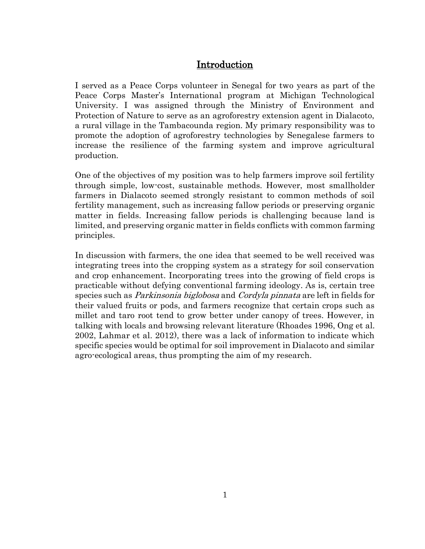# Introduction

I served as a Peace Corps volunteer in Senegal for two years as part of the Peace Corps Master's International program at Michigan Technological University. I was assigned through the Ministry of Environment and Protection of Nature to serve as an agroforestry extension agent in Dialacoto, a rural village in the Tambacounda region. My primary responsibility was to promote the adoption of agroforestry technologies by Senegalese farmers to increase the resilience of the farming system and improve agricultural production.

One of the objectives of my position was to help farmers improve soil fertility through simple, low-cost, sustainable methods. However, most smallholder farmers in Dialacoto seemed strongly resistant to common methods of soil fertility management, such as increasing fallow periods or preserving organic matter in fields. Increasing fallow periods is challenging because land is limited, and preserving organic matter in fields conflicts with common farming principles.

In discussion with farmers, the one idea that seemed to be well received was integrating trees into the cropping system as a strategy for soil conservation and crop enhancement. Incorporating trees into the growing of field crops is practicable without defying conventional farming ideology. As is, certain tree species such as *Parkinsonia biglobosa* and *Cordyla pinnata* are left in fields for their valued fruits or pods, and farmers recognize that certain crops such as millet and taro root tend to grow better under canopy of trees. However, in talking with locals and browsing relevant literature [\(Rhoades 1996,](#page-41-0) [Ong et al.](#page-41-1)  [2002,](#page-41-1) [Lahmar et al. 2012\)](#page-40-0), there was a lack of information to indicate which specific species would be optimal for soil improvement in Dialacoto and similar agro-ecological areas, thus prompting the aim of my research.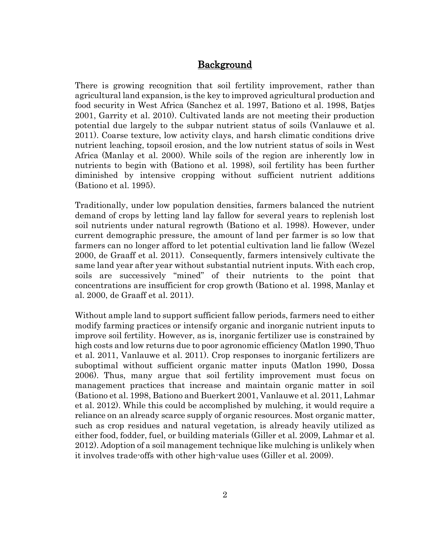# Background

There is growing recognition that soil fertility improvement, rather than agricultural land expansion, is the key to improved agricultural production and food security in West Africa [\(Sanchez et al. 1997,](#page-42-0) [Bationo et al. 1998,](#page-38-0) [Batjes](#page-38-1)  [2001,](#page-38-1) [Garrity et al. 2010\)](#page-39-0). Cultivated lands are not meeting their production potential due largely to the subpar nutrient status of soils [\(Vanlauwe et al.](#page-42-1)  [2011\)](#page-42-1). Coarse texture, low activity clays, and harsh climatic conditions drive nutrient leaching, topsoil erosion, and the low nutrient status of soils in West Africa [\(Manlay et al. 2000\)](#page-40-1). While soils of the region are inherently low in nutrients to begin with [\(Bationo et al. 1998\)](#page-38-0), soil fertility has been further diminished by intensive cropping without sufficient nutrient additions [\(Bationo et al. 1995\)](#page-38-2).

Traditionally, under low population densities, farmers balanced the nutrient demand of crops by letting land lay fallow for several years to replenish lost soil nutrients under natural regrowth [\(Bationo et al. 1998\)](#page-38-0). However, under current demographic pressure, the amount of land per farmer is so low that farmers can no longer afford to let potential cultivation land lie fallow [\(Wezel](#page-42-2)  [2000,](#page-42-2) [de Graaff et al. 2011\)](#page-39-1). Consequently, farmers intensively cultivate the same land year after year without substantial nutrient inputs. With each crop, soils are successively "mined" of their nutrients to the point that concentrations are insufficient for crop growth [\(Bationo et al. 1998,](#page-38-0) [Manlay et](#page-40-1)  [al. 2000,](#page-40-1) [de Graaff et al. 2011\)](#page-39-1).

Without ample land to support sufficient fallow periods, farmers need to either modify farming practices or intensify organic and inorganic nutrient inputs to improve soil fertility. However, as is, inorganic fertilizer use is constrained by high costs and low returns due to poor agronomic efficiency [\(Matlon 1990,](#page-41-2) [Thuo](#page-42-3)  [et al. 2011,](#page-42-3) [Vanlauwe et al. 2011\)](#page-42-1). Crop responses to inorganic fertilizers are suboptimal without sufficient organic matter inputs [\(Matlon 1990,](#page-41-2) [Dossa](#page-39-2)  [2006\)](#page-39-2). Thus, many argue that soil fertility improvement must focus on management practices that increase and maintain organic matter in soil [\(Bationo et al. 1998,](#page-38-0) [Bationo and Buerkert 2001,](#page-38-3) [Vanlauwe et al. 2011,](#page-42-1) [Lahmar](#page-40-0)  [et al. 2012\)](#page-40-0). While this could be accomplished by mulching, it would require a reliance on an already scarce supply of organic resources. Most organic matter, such as crop residues and natural vegetation, is already heavily utilized as either food, fodder, fuel, or building materials [\(Giller et al. 2009,](#page-39-3) [Lahmar et al.](#page-40-0)  [2012\)](#page-40-0). Adoption of a soil management technique like mulching is unlikely when it involves trade-offs with other high-value uses [\(Giller et al. 2009\)](#page-39-3).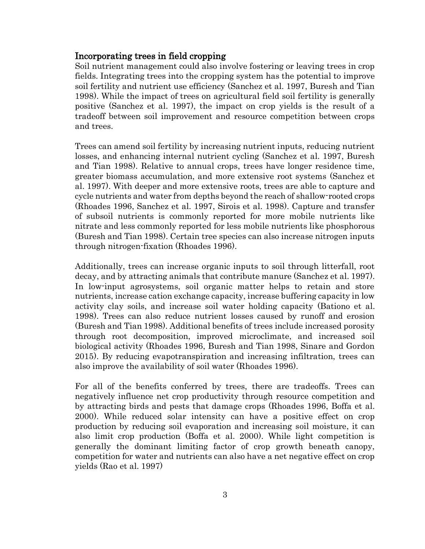# Incorporating trees in field cropping

Soil nutrient management could also involve fostering or leaving trees in crop fields. Integrating trees into the cropping system has the potential to improve soil fertility and nutrient use efficiency [\(Sanchez et al. 1997,](#page-42-0) [Buresh and Tian](#page-39-4)  [1998\)](#page-39-4). While the impact of trees on agricultural field soil fertility is generally positive [\(Sanchez et al. 1997\)](#page-42-0), the impact on crop yields is the result of a tradeoff between soil improvement and resource competition between crops and trees.

Trees can amend soil fertility by increasing nutrient inputs, reducing nutrient losses, and enhancing internal nutrient cycling [\(Sanchez et al. 1997,](#page-42-0) [Buresh](#page-39-4)  [and Tian 1998\)](#page-39-4). Relative to annual crops, trees have longer residence time, greater biomass accumulation, and more extensive root systems [\(Sanchez et](#page-42-0)  [al. 1997\)](#page-42-0). With deeper and more extensive roots, trees are able to capture and cycle nutrients and water from depths beyond the reach of shallow-rooted crops [\(Rhoades 1996,](#page-41-0) [Sanchez et al. 1997,](#page-42-0) [Sirois et al. 1998\)](#page-42-4). Capture and transfer of subsoil nutrients is commonly reported for more mobile nutrients like nitrate and less commonly reported for less mobile nutrients like phosphorous [\(Buresh and Tian 1998\)](#page-39-4). Certain tree species can also increase nitrogen inputs through nitrogen-fixation [\(Rhoades 1996\)](#page-41-0).

Additionally, trees can increase organic inputs to soil through litterfall, root decay, and by attracting animals that contribute manure [\(Sanchez et al. 1997\)](#page-42-0). In low-input agrosystems, soil organic matter helps to retain and store nutrients, increase cation exchange capacity, increase buffering capacity in low activity clay soils, and increase soil water holding capacity [\(Bationo et al.](#page-38-0)  [1998\)](#page-38-0). Trees can also reduce nutrient losses caused by runoff and erosion [\(Buresh and Tian 1998\)](#page-39-4). Additional benefits of trees include increased porosity through root decomposition, improved microclimate, and increased soil biological activity [\(Rhoades 1996,](#page-41-0) [Buresh and Tian 1998,](#page-39-4) [Sinare and Gordon](#page-42-5)  [2015\)](#page-42-5). By reducing evapotranspiration and increasing infiltration, trees can also improve the availability of soil water [\(Rhoades 1996\)](#page-41-0).

For all of the benefits conferred by trees, there are tradeoffs. Trees can negatively influence net crop productivity through resource competition and by attracting birds and pests that damage crops [\(Rhoades 1996,](#page-41-0) [Boffa et al.](#page-38-4)  [2000\)](#page-38-4). While reduced solar intensity can have a positive effect on crop production by reducing soil evaporation and increasing soil moisture, it can also limit crop production [\(Boffa et al. 2000\)](#page-38-4). While light competition is generally the dominant limiting factor of crop growth beneath canopy, competition for water and nutrients can also have a net negative effect on crop yields [\(Rao et al. 1997\)](#page-41-3)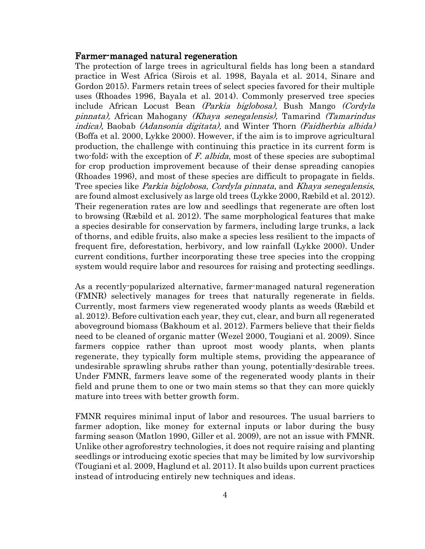## Farmer-managed natural regeneration

The protection of large trees in agricultural fields has long been a standard practice in West Africa [\(Sirois et al. 1998,](#page-42-4) [Bayala et al. 2014,](#page-38-5) [Sinare and](#page-42-5)  [Gordon 2015\)](#page-42-5). Farmers retain trees of select species favored for their multiple uses [\(Rhoades 1996,](#page-41-0) [Bayala et al. 2014\)](#page-38-5). Commonly preserved tree species include African Locust Bean (Parkia biglobosa), Bush Mango (Cordyla pinnata), African Mahogany (Khaya senegalensis), Tamarind (Tamarindus indica), Baobab (Adansonia digitata), and Winter Thorn (Faidherbia albida) [\(Boffa et al. 2000,](#page-38-4) [Lykke 2000\)](#page-40-2). However, if the aim is to improve agricultural production, the challenge with continuing this practice in its current form is two-fold; with the exception of F. albida, most of these species are suboptimal for crop production improvement because of their dense spreading canopies [\(Rhoades 1996\)](#page-41-0), and most of these species are difficult to propagate in fields. Tree species like Parkia biglobosa, Cordyla pinnata, and Khaya senegalensis, are found almost exclusively as large old trees [\(Lykke 2000,](#page-40-2) [Ræbild et al. 2012\)](#page-41-4). Their regeneration rates are low and seedlings that regenerate are often lost to browsing [\(Ræbild et al. 2012\)](#page-41-4). The same morphological features that make a species desirable for conservation by farmers, including large trunks, a lack of thorns, and edible fruits, also make a species less resilient to the impacts of frequent fire, deforestation, herbivory, and low rainfall [\(Lykke 2000\)](#page-40-2). Under current conditions, further incorporating these tree species into the cropping system would require labor and resources for raising and protecting seedlings.

As a recently-popularized alternative, farmer-managed natural regeneration (FMNR) selectively manages for trees that naturally regenerate in fields. Currently, most farmers view regenerated woody plants as weeds [\(Ræbild et](#page-41-4)  [al. 2012\)](#page-41-4). Before cultivation each year, they cut, clear, and burn all regenerated aboveground biomass [\(Bakhoum et al. 2012\)](#page-38-6). Farmers believe that their fields need to be cleaned of organic matter [\(Wezel 2000,](#page-42-2) [Tougiani et al. 2009\)](#page-42-6). Since farmers coppice rather than uproot most woody plants, when plants regenerate, they typically form multiple stems, providing the appearance of undesirable sprawling shrubs rather than young, potentially-desirable trees. Under FMNR, farmers leave some of the regenerated woody plants in their field and prune them to one or two main stems so that they can more quickly mature into trees with better growth form.

FMNR requires minimal input of labor and resources. The usual barriers to farmer adoption, like money for external inputs or labor during the busy farming season [\(Matlon 1990,](#page-41-2) [Giller et al. 2009\)](#page-39-3), are not an issue with FMNR. Unlike other agroforestry technologies, it does not require raising and planting seedlings or introducing exotic species that may be limited by low survivorship [\(Tougiani et al. 2009,](#page-42-6) [Haglund et al. 2011\)](#page-39-5). It also builds upon current practices instead of introducing entirely new techniques and ideas.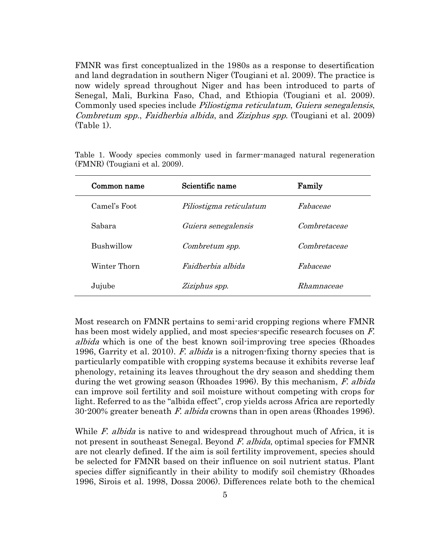FMNR was first conceptualized in the 1980s as a response to desertification and land degradation in southern Niger [\(Tougiani et al. 2009\)](#page-42-6). The practice is now widely spread throughout Niger and has been introduced to parts of Senegal, Mali, Burkina Faso, Chad, and Ethiopia [\(Tougiani et al. 2009\)](#page-42-6). Commonly used species include Piliostigma reticulatum, Guiera senegalensis, Combretum spp., Faidherbia albida, and Ziziphus spp. [\(Tougiani et al. 2009\)](#page-42-6) (Table 1).

| Common name  | Scientific name          | Family       |  |
|--------------|--------------------------|--------------|--|
| Camel's Foot | Piliostigma reticulatum  | Fabaceae     |  |
| Sabara       | Guiera senegalensis      | Combretaceae |  |
| Bushwillow   | Combretum spp.           | Combretaceae |  |
| Winter Thorn | <i>Faidherbia albida</i> | Fabaceae     |  |
| Jujube       | Ziziphus spp.            | Rhamnaceae   |  |

Table 1. Woody species commonly used in farmer-managed natural regeneration (FMNR) [\(Tougiani et al. 2009\)](#page-42-6).

Most research on FMNR pertains to semi-arid cropping regions where FMNR has been most widely applied, and most species-specific research focuses on F. albida which is one of the best known soil-improving tree species [\(Rhoades](#page-41-0)  [1996,](#page-41-0) [Garrity et al. 2010\)](#page-39-0). F. albida is a nitrogen-fixing thorny species that is particularly compatible with cropping systems because it exhibits reverse leaf phenology, retaining its leaves throughout the dry season and shedding them during the wet growing season [\(Rhoades 1996\)](#page-41-0). By this mechanism, F. albida can improve soil fertility and soil moisture without competing with crops for light. Referred to as the "albida effect", crop yields across Africa are reportedly 30-200% greater beneath F. albida crowns than in open areas [\(Rhoades 1996\)](#page-41-0).

While *F. albida* is native to and widespread throughout much of Africa, it is not present in southeast Senegal. Beyond F. albida, optimal species for FMNR are not clearly defined. If the aim is soil fertility improvement, species should be selected for FMNR based on their influence on soil nutrient status. Plant species differ significantly in their ability to modify soil chemistry [\(Rhoades](#page-41-0)  [1996,](#page-41-0) [Sirois et al. 1998,](#page-42-4) [Dossa 2006\)](#page-39-2). Differences relate both to the chemical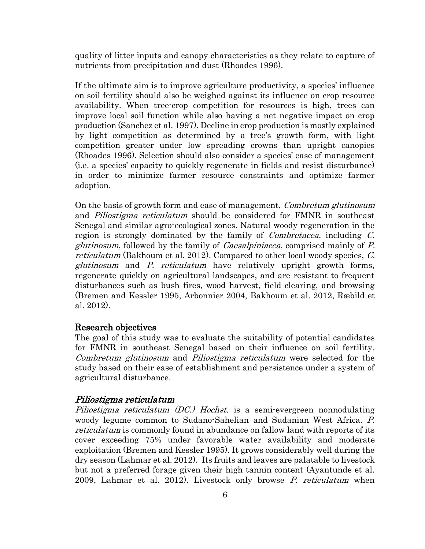quality of litter inputs and canopy characteristics as they relate to capture of nutrients from precipitation and dust [\(Rhoades 1996\)](#page-41-0).

If the ultimate aim is to improve agriculture productivity, a species' influence on soil fertility should also be weighed against its influence on crop resource availability. When tree-crop competition for resources is high, trees can improve local soil function while also having a net negative impact on crop production [\(Sanchez et al. 1997\)](#page-42-0). Decline in crop production is mostly explained by light competition as determined by a tree's growth form, with light competition greater under low spreading crowns than upright canopies [\(Rhoades 1996\)](#page-41-0). Selection should also consider a species' ease of management (i.e. a species' capacity to quickly regenerate in fields and resist disturbance) in order to minimize farmer resource constraints and optimize farmer adoption.

On the basis of growth form and ease of management, Combretum glutinosum and *Piliostigma reticulatum* should be considered for FMNR in southeast Senegal and similar agro-ecological zones. Natural woody regeneration in the region is strongly dominated by the family of *Combretacea*, including C. glutinosum, followed by the family of Caesalpiniacea, comprised mainly of P. reticulatum [\(Bakhoum et al. 2012\)](#page-38-6). Compared to other local woody species, C. glutinosum and P. reticulatum have relatively upright growth forms, regenerate quickly on agricultural landscapes, and are resistant to frequent disturbances such as bush fires, wood harvest, field clearing, and browsing [\(Bremen and Kessler 1995,](#page-38-7) [Arbonnier 2004,](#page-38-8) [Bakhoum et al. 2012,](#page-38-6) [Ræbild et](#page-41-4)  [al. 2012\)](#page-41-4).

### Research objectives

The goal of this study was to evaluate the suitability of potential candidates for FMNR in southeast Senegal based on their influence on soil fertility. Combretum glutinosum and Piliostigma reticulatum were selected for the study based on their ease of establishment and persistence under a system of agricultural disturbance.

#### Piliostigma reticulatum

Piliostigma reticulatum (DC.) Hochst. is a semi-evergreen nonnodulating woody legume common to Sudano-Sahelian and Sudanian West Africa. P. reticulatum is commonly found in abundance on fallow land with reports of its cover exceeding 75% under favorable water availability and moderate exploitation [\(Bremen and Kessler 1995\)](#page-38-7). It grows considerably well during the dry season [\(Lahmar et al. 2012\)](#page-40-0). Its fruits and leaves are palatable to livestock but not a preferred forage given their high tannin content [\(Ayantunde et al.](#page-38-9)  [2009,](#page-38-9) [Lahmar et al. 2012\)](#page-40-0). Livestock only browse P. reticulatum when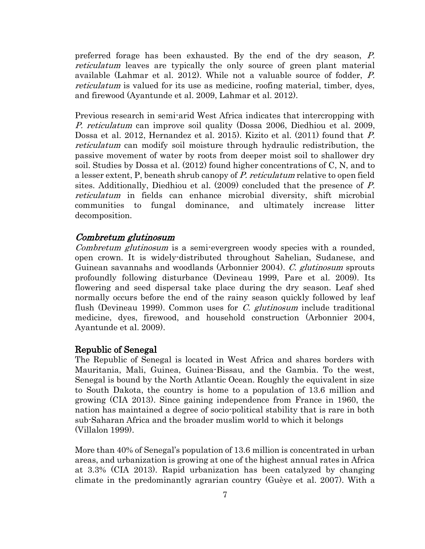preferred forage has been exhausted. By the end of the dry season, P. reticulatum leaves are typically the only source of green plant material available [\(Lahmar et al. 2012\)](#page-40-0). While not a valuable source of fodder, P. reticulatum is valued for its use as medicine, roofing material, timber, dyes, and firewood [\(Ayantunde et al. 2009,](#page-38-9) [Lahmar et al. 2012\)](#page-40-0).

Previous research in semi-arid West Africa indicates that intercropping with P. reticulatum can improve soil quality [\(Dossa 2006,](#page-39-2) [Diedhiou et al. 2009,](#page-39-6) [Dossa et al. 2012,](#page-39-7) [Hernandez et al. 2015\)](#page-40-3). Kizito et al. (2011) found that P. reticulatum can modify soil moisture through hydraulic redistribution, the passive movement of water by roots from deeper moist soil to shallower dry soil. Studies by Dossa et al. (2012) found higher concentrations of C, N, and to a lesser extent, P, beneath shrub canopy of P. reticulatum relative to open field sites. Additionally, Diedhiou et al. (2009) concluded that the presence of P. reticulatum in fields can enhance microbial diversity, shift microbial communities to fungal dominance, and ultimately increase litter decomposition.

### Combretum glutinosum

Combretum glutinosum is a semi-evergreen woody species with a rounded, open crown. It is widely-distributed throughout Sahelian, Sudanese, and Guinean savannahs and woodlands [\(Arbonnier 2004\)](#page-38-8). C. glutinosum sprouts profoundly following disturbance [\(Devineau 1999,](#page-39-8) [Pare et al. 2009\)](#page-41-5). Its flowering and seed dispersal take place during the dry season. Leaf shed normally occurs before the end of the rainy season quickly followed by leaf flush [\(Devineau 1999\)](#page-39-8). Common uses for *C. glutinosum* include traditional medicine, dyes, firewood, and household construction [\(Arbonnier 2004,](#page-38-8) [Ayantunde et al. 2009\)](#page-38-9).

### Republic of Senegal

The Republic of Senegal is located in West Africa and shares borders with Mauritania, Mali, Guinea, Guinea-Bissau, and the Gambia. To the west, Senegal is bound by the North Atlantic Ocean. Roughly the equivalent in size to South Dakota, the country is home to a population of 13.6 million and growing [\(CIA 2013\)](#page-39-9). Since gaining independence from France in 1960, the nation has maintained a degree of socio-political stability that is rare in both sub-Saharan Africa and the broader muslim world to which it belongs [\(Villalon 1999\)](#page-42-7).

More than 40% of Senegal's population of 13.6 million is concentrated in urban areas, and urbanization is growing at one of the highest annual rates in Africa at 3.3% [\(CIA 2013\)](#page-39-9). Rapid urbanization has been catalyzed by changing climate in the predominantly agrarian country [\(Guèye et al. 2007\)](#page-39-10). With a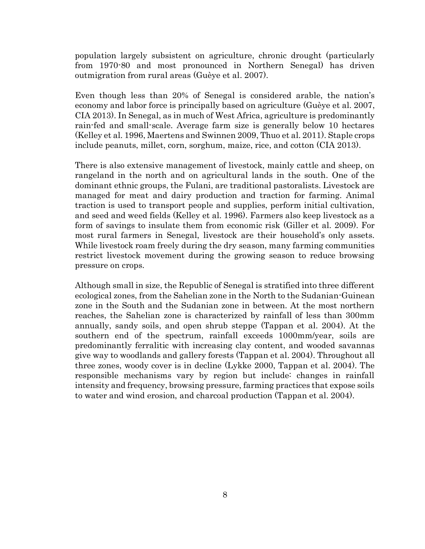population largely subsistent on agriculture, chronic drought (particularly from 1970-80 and most pronounced in Northern Senegal) has driven outmigration from rural areas [\(Guèye et al. 2007\)](#page-39-10).

Even though less than 20% of Senegal is considered arable, the nation's economy and labor force is principally based on agriculture [\(Guèye et al. 2007,](#page-39-10) [CIA 2013\)](#page-39-9). In Senegal, as in much of West Africa, agriculture is predominantly rain-fed and small-scale. Average farm size is generally below 10 hectares [\(Kelley et al. 1996,](#page-40-4) [Maertens and Swinnen 2009,](#page-40-5) [Thuo et al. 2011\)](#page-42-3). Staple crops include peanuts, millet, corn, sorghum, maize, rice, and cotton [\(CIA 2013\)](#page-39-9).

There is also extensive management of livestock, mainly cattle and sheep, on rangeland in the north and on agricultural lands in the south. One of the dominant ethnic groups, the Fulani, are traditional pastoralists. Livestock are managed for meat and dairy production and traction for farming. Animal traction is used to transport people and supplies, perform initial cultivation, and seed and weed fields [\(Kelley et al. 1996\)](#page-40-4). Farmers also keep livestock as a form of savings to insulate them from economic risk [\(Giller et al. 2009\)](#page-39-3). For most rural farmers in Senegal, livestock are their household's only assets. While livestock roam freely during the dry season, many farming communities restrict livestock movement during the growing season to reduce browsing pressure on crops.

Although small in size, the Republic of Senegal is stratified into three different ecological zones, from the Sahelian zone in the North to the Sudanian-Guinean zone in the South and the Sudanian zone in between. At the most northern reaches, the Sahelian zone is characterized by rainfall of less than 300mm annually, sandy soils, and open shrub steppe [\(Tappan et al. 2004\)](#page-42-8). At the southern end of the spectrum, rainfall exceeds 1000mm/year, soils are predominantly ferralitic with increasing clay content, and wooded savannas give way to woodlands and gallery forests [\(Tappan et al. 2004\)](#page-42-8). Throughout all three zones, woody cover is in decline [\(Lykke 2000,](#page-40-2) [Tappan et al. 2004\)](#page-42-8). The responsible mechanisms vary by region but include: changes in rainfall intensity and frequency, browsing pressure, farming practices that expose soils to water and wind erosion, and charcoal production [\(Tappan et al. 2004\)](#page-42-8).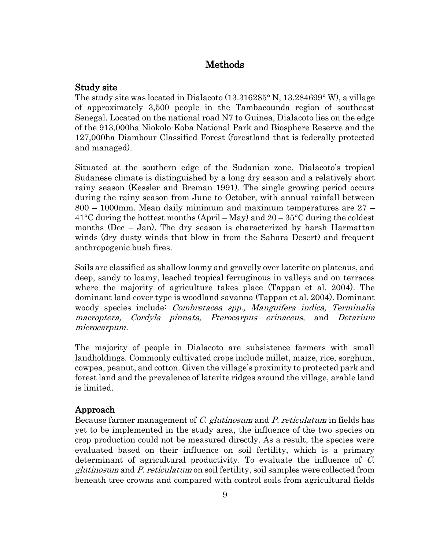# Methods

# Study site

The study site was located in Dialacoto (13.316285° N, 13.284699° W), a village of approximately 3,500 people in the Tambacounda region of southeast Senegal. Located on the national road N7 to Guinea, Dialacoto lies on the edge of the 913,000ha Niokolo-Koba National Park and Biosphere Reserve and the 127,000ha Diambour Classified Forest (forestland that is federally protected and managed).

Situated at the southern edge of the Sudanian zone, Dialacoto's tropical Sudanese climate is distinguished by a long dry season and a relatively short rainy season [\(Kessler and Breman 1991\)](#page-40-6). The single growing period occurs during the rainy season from June to October, with annual rainfall between 800 – 1000mm. Mean daily minimum and maximum temperatures are 27 –  $41^{\circ}$ C during the hottest months (April – May) and  $20 - 35^{\circ}$ C during the coldest months (Dec – Jan). The dry season is characterized by harsh Harmattan winds (dry dusty winds that blow in from the Sahara Desert) and frequent anthropogenic bush fires.

Soils are classified as shallow loamy and gravelly over laterite on plateaus, and deep, sandy to loamy, leached tropical ferruginous in valleys and on terraces where the majority of agriculture takes place [\(Tappan et al. 2004\)](#page-42-8). The dominant land cover type is woodland savanna [\(Tappan et al. 2004\)](#page-42-8). Dominant woody species include: Combretacea spp., Manguifera indica, Terminalia macroptera, Cordyla pinnata, Pterocarpus erinaceus, and Detarium microcarpum.

The majority of people in Dialacoto are subsistence farmers with small landholdings. Commonly cultivated crops include millet, maize, rice, sorghum, cowpea, peanut, and cotton. Given the village's proximity to protected park and forest land and the prevalence of laterite ridges around the village, arable land is limited.

# Approach

Because farmer management of C. glutinosum and P. reticulatum in fields has yet to be implemented in the study area, the influence of the two species on crop production could not be measured directly. As a result, the species were evaluated based on their influence on soil fertility, which is a primary determinant of agricultural productivity. To evaluate the influence of C. glutinosum and P. reticulatum on soil fertility, soil samples were collected from beneath tree crowns and compared with control soils from agricultural fields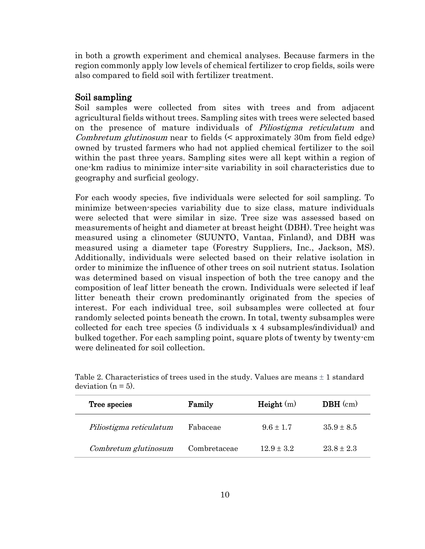in both a growth experiment and chemical analyses. Because farmers in the region commonly apply low levels of chemical fertilizer to crop fields, soils were also compared to field soil with fertilizer treatment.

## Soil sampling

Soil samples were collected from sites with trees and from adjacent agricultural fields without trees. Sampling sites with trees were selected based on the presence of mature individuals of *Piliostigma reticulatum* and Combretum glutinosum near to fields (< approximately 30m from field edge) owned by trusted farmers who had not applied chemical fertilizer to the soil within the past three years. Sampling sites were all kept within a region of one-km radius to minimize inter-site variability in soil characteristics due to geography and surficial geology.

For each woody species, five individuals were selected for soil sampling. To minimize between-species variability due to size class, mature individuals were selected that were similar in size. Tree size was assessed based on measurements of height and diameter at breast height (DBH). Tree height was measured using a clinometer (SUUNTO, Vantaa, Finland), and DBH was measured using a diameter tape (Forestry Suppliers, Inc., Jackson, MS). Additionally, individuals were selected based on their relative isolation in order to minimize the influence of other trees on soil nutrient status. Isolation was determined based on visual inspection of both the tree canopy and the composition of leaf litter beneath the crown. Individuals were selected if leaf litter beneath their crown predominantly originated from the species of interest. For each individual tree, soil subsamples were collected at four randomly selected points beneath the crown. In total, twenty subsamples were collected for each tree species (5 individuals x 4 subsamples/individual) and bulked together. For each sampling point, square plots of twenty by twenty-cm were delineated for soil collection.

| Tree species            | Family       | Height(m)      | $DBH$ (cm)     |
|-------------------------|--------------|----------------|----------------|
| Piliostigma reticulatum | Fabaceae     | $9.6 \pm 1.7$  | $35.9 \pm 8.5$ |
| Combretum glutinosum    | Combretaceae | $12.9 \pm 3.2$ | $23.8 \pm 2.3$ |

Table 2. Characteristics of trees used in the study. Values are means  $\pm$  1 standard deviation  $(n = 5)$ .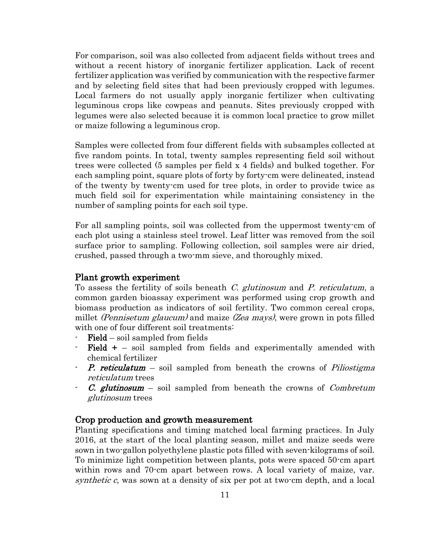For comparison, soil was also collected from adjacent fields without trees and without a recent history of inorganic fertilizer application. Lack of recent fertilizer application was verified by communication with the respective farmer and by selecting field sites that had been previously cropped with legumes. Local farmers do not usually apply inorganic fertilizer when cultivating leguminous crops like cowpeas and peanuts. Sites previously cropped with legumes were also selected because it is common local practice to grow millet or maize following a leguminous crop.

Samples were collected from four different fields with subsamples collected at five random points. In total, twenty samples representing field soil without trees were collected (5 samples per field x 4 fields) and bulked together. For each sampling point, square plots of forty by forty-cm were delineated, instead of the twenty by twenty-cm used for tree plots, in order to provide twice as much field soil for experimentation while maintaining consistency in the number of sampling points for each soil type.

For all sampling points, soil was collected from the uppermost twenty-cm of each plot using a stainless steel trowel. Leaf litter was removed from the soil surface prior to sampling. Following collection, soil samples were air dried, crushed, passed through a two-mm sieve, and thoroughly mixed.

### Plant growth experiment

To assess the fertility of soils beneath C. glutinosum and P. reticulatum, a common garden bioassay experiment was performed using crop growth and biomass production as indicators of soil fertility. Two common cereal crops, millet *(Pennisetum glaucum)* and maize *(Zea mays)*, were grown in pots filled with one of four different soil treatments:

- $Field soil sampled from fields$
- Field  $+$  soil sampled from fields and experimentally amended with chemical fertilizer
- P. reticulatum soil sampled from beneath the crowns of Piliostigma reticulatum trees
- **C.** glutinosum soil sampled from beneath the crowns of *Combretum* glutinosum trees

## Crop production and growth measurement

Planting specifications and timing matched local farming practices. In July 2016, at the start of the local planting season, millet and maize seeds were sown in two-gallon polyethylene plastic pots filled with seven-kilograms of soil. To minimize light competition between plants, pots were spaced 50-cm apart within rows and 70-cm apart between rows. A local variety of maize, var. synthetic c, was sown at a density of six per pot at two-cm depth, and a local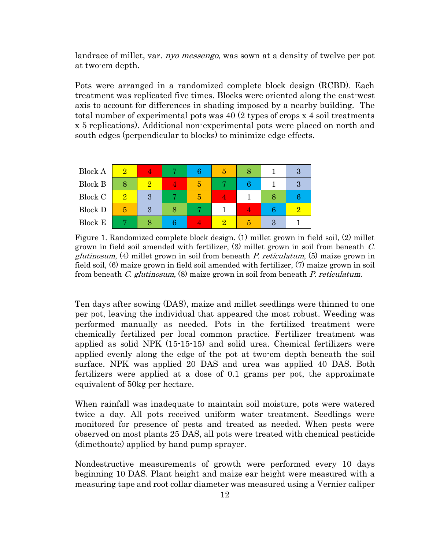landrace of millet, var. *nyo messengo*, was sown at a density of twelve per pot at two-cm depth.

Pots were arranged in a randomized complete block design (RCBD). Each treatment was replicated five times. Blocks were oriented along the east-west axis to account for differences in shading imposed by a nearby building. The total number of experimental pots was 40 (2 types of crops x 4 soil treatments x 5 replications). Additional non-experimental pots were placed on north and south edges (perpendicular to blocks) to minimize edge effects.

| <b>Block A</b> | $\Omega$ |   |  |  |  |
|----------------|----------|---|--|--|--|
| <b>Block B</b> | 8        | 9 |  |  |  |
| Block C        | 2        | ാ |  |  |  |
| <b>Block D</b> | 5        | 3 |  |  |  |
| <b>Block E</b> |          |   |  |  |  |

Figure 1. Randomized complete block design. (1) millet grown in field soil, (2) millet grown in field soil amended with fertilizer, (3) millet grown in soil from beneath C.  $glutinosum$ ,  $(4)$  millet grown in soil from beneath P. reticulatum,  $(5)$  maize grown in field soil, (6) maize grown in field soil amended with fertilizer, (7) maize grown in soil from beneath C. glutinosum, (8) maize grown in soil from beneath P. reticulatum.

Ten days after sowing (DAS), maize and millet seedlings were thinned to one per pot, leaving the individual that appeared the most robust. Weeding was performed manually as needed. Pots in the fertilized treatment were chemically fertilized per local common practice. Fertilizer treatment was applied as solid NPK (15-15-15) and solid urea. Chemical fertilizers were applied evenly along the edge of the pot at two-cm depth beneath the soil surface. NPK was applied 20 DAS and urea was applied 40 DAS. Both fertilizers were applied at a dose of 0.1 grams per pot, the approximate equivalent of 50kg per hectare.

When rainfall was inadequate to maintain soil moisture, pots were watered twice a day. All pots received uniform water treatment. Seedlings were monitored for presence of pests and treated as needed. When pests were observed on most plants 25 DAS, all pots were treated with chemical pesticide (dimethoate) applied by hand pump sprayer.

Nondestructive measurements of growth were performed every 10 days beginning 10 DAS. Plant height and maize ear height were measured with a measuring tape and root collar diameter was measured using a Vernier caliper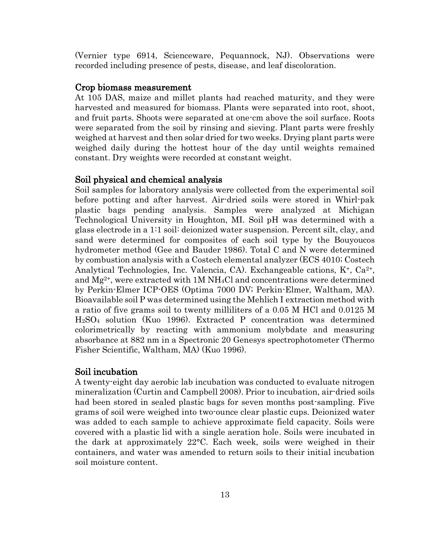(Vernier type 6914, Scienceware, Pequannock, NJ). Observations were recorded including presence of pests, disease, and leaf discoloration.

#### Crop biomass measurement

At 105 DAS, maize and millet plants had reached maturity, and they were harvested and measured for biomass. Plants were separated into root, shoot, and fruit parts. Shoots were separated at one-cm above the soil surface. Roots were separated from the soil by rinsing and sieving. Plant parts were freshly weighed at harvest and then solar dried for two weeks. Drying plant parts were weighed daily during the hottest hour of the day until weights remained constant. Dry weights were recorded at constant weight.

#### Soil physical and chemical analysis

Soil samples for laboratory analysis were collected from the experimental soil before potting and after harvest. Air-dried soils were stored in Whirl-pak plastic bags pending analysis. Samples were analyzed at Michigan Technological University in Houghton, MI. Soil pH was determined with a glass electrode in a 1:1 soil: deionized water suspension. Percent silt, clay, and sand were determined for composites of each soil type by the Bouyoucos hydrometer method [\(Gee and Bauder 1986\)](#page-39-11). Total C and N were determined by combustion analysis with a Costech elemental analyzer (ECS 4010; Costech Analytical Technologies, Inc. Valencia, CA). Exchangeable cations,  $K^+$ ,  $Ca^{2+}$ , and  $Mg^{2+}$ , were extracted with 1M NH<sub>4</sub>Cl and concentrations were determined by Perkin-Elmer ICP-OES (Optima 7000 DV; Perkin-Elmer, Waltham, MA). Bioavailable soil P was determined using the Mehlich I extraction method with a ratio of five grams soil to twenty milliliters of a 0.05 M HCl and 0.0125 M H2SO<sup>4</sup> solution [\(Kuo 1996\)](#page-40-7). Extracted P concentration was determined colorimetrically by reacting with ammonium molybdate and measuring absorbance at 882 nm in a Spectronic 20 Genesys spectrophotometer (Thermo Fisher Scientific, Waltham, MA) [\(Kuo 1996\)](#page-40-7).

### Soil incubation

A twenty-eight day aerobic lab incubation was conducted to evaluate nitrogen mineralization [\(Curtin and Campbell 2008\)](#page-39-12). Prior to incubation, air-dried soils had been stored in sealed plastic bags for seven months post-sampling. Five grams of soil were weighed into two-ounce clear plastic cups. Deionized water was added to each sample to achieve approximate field capacity. Soils were covered with a plastic lid with a single aeration hole. Soils were incubated in the dark at approximately 22°C. Each week, soils were weighed in their containers, and water was amended to return soils to their initial incubation soil moisture content.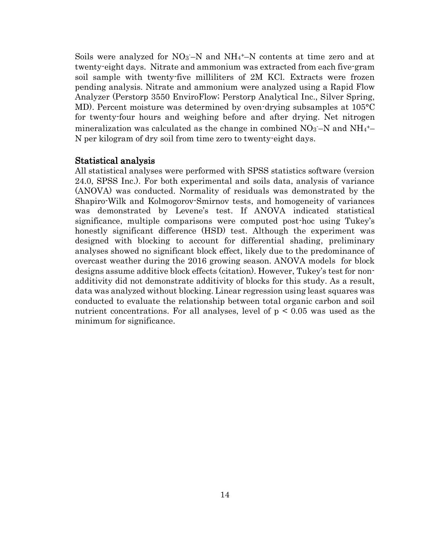Soils were analyzed for  $NO<sub>3</sub>–N$  and  $NH<sub>4</sub>+-N$  contents at time zero and at twenty-eight days. Nitrate and ammonium was extracted from each five-gram soil sample with twenty-five milliliters of 2M KCl. Extracts were frozen pending analysis. Nitrate and ammonium were analyzed using a Rapid Flow Analyzer (Perstorp 3550 EnviroFlow; Perstorp Analytical Inc., Silver Spring, MD). Percent moisture was determined by oven-drying subsamples at 105°C for twenty-four hours and weighing before and after drying. Net nitrogen mineralization was calculated as the change in combined  $NO<sub>3</sub>–N$  and  $NH<sub>4</sub><sup>+</sup>–$ N per kilogram of dry soil from time zero to twenty-eight days.

#### Statistical analysis

All statistical analyses were performed with SPSS statistics software (version 24.0, SPSS Inc.). For both experimental and soils data, analysis of variance (ANOVA) was conducted. Normality of residuals was demonstrated by the Shapiro-Wilk and Kolmogorov-Smirnov tests, and homogeneity of variances was demonstrated by Levene's test. If ANOVA indicated statistical significance, multiple comparisons were computed post-hoc using Tukey's honestly significant difference (HSD) test. Although the experiment was designed with blocking to account for differential shading, preliminary analyses showed no significant block effect, likely due to the predominance of overcast weather during the 2016 growing season. ANOVA models for block designs assume additive block effects (citation). However, Tukey's test for nonadditivity did not demonstrate additivity of blocks for this study. As a result, data was analyzed without blocking. Linear regression using least squares was conducted to evaluate the relationship between total organic carbon and soil nutrient concentrations. For all analyses, level of  $p \leq 0.05$  was used as the minimum for significance.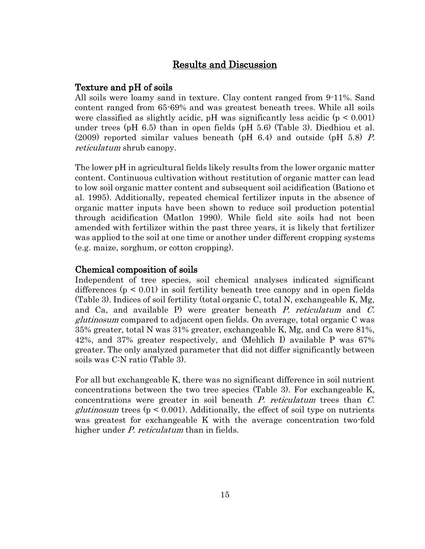# Results and Discussion

# Texture and pH of soils

All soils were loamy sand in texture. Clay content ranged from 9-11%. Sand content ranged from 65-69% and was greatest beneath trees. While all soils were classified as slightly acidic, pH was significantly less acidic ( $p < 0.001$ ) under trees (pH 6.5) than in open fields (pH 5.6) (Table 3). Diedhiou et al. (2009) reported similar values beneath (pH 6.4) and outside (pH 5.8) P. reticulatum shrub canopy.

The lower pH in agricultural fields likely results from the lower organic matter content. Continuous cultivation without restitution of organic matter can lead to low soil organic matter content and subsequent soil acidification [\(Bationo et](#page-38-2)  [al. 1995\)](#page-38-2). Additionally, repeated chemical fertilizer inputs in the absence of organic matter inputs have been shown to reduce soil production potential through acidification [\(Matlon 1990\)](#page-41-2). While field site soils had not been amended with fertilizer within the past three years, it is likely that fertilizer was applied to the soil at one time or another under different cropping systems (e.g. maize, sorghum, or cotton cropping).

## Chemical composition of soils

Independent of tree species, soil chemical analyses indicated significant differences  $(p < 0.01)$  in soil fertility beneath tree canopy and in open fields (Table 3). Indices of soil fertility (total organic C, total N, exchangeable K, Mg, and Ca, and available P) were greater beneath P. reticulatum and C. glutinosum compared to adjacent open fields. On average, total organic C was 35% greater, total N was 31% greater, exchangeable K, Mg, and Ca were 81%, 42%, and 37% greater respectively, and (Mehlich I) available P was 67% greater. The only analyzed parameter that did not differ significantly between soils was C:N ratio (Table 3).

For all but exchangeable K, there was no significant difference in soil nutrient concentrations between the two tree species (Table 3). For exchangeable K, concentrations were greater in soil beneath P. reticulatum trees than C. *glutinosum* trees ( $p < 0.001$ ). Additionally, the effect of soil type on nutrients was greatest for exchangeable K with the average concentration two-fold higher under P. reticulatum than in fields.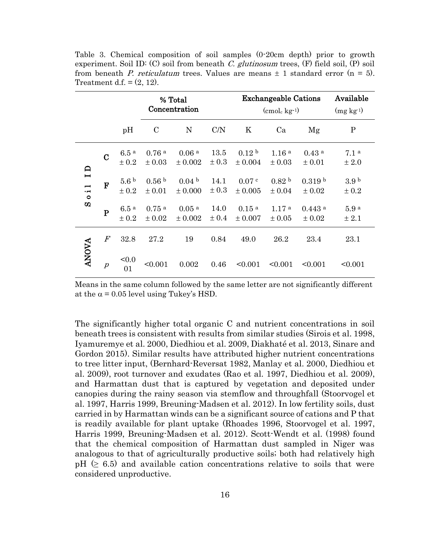|                                                                      |                  |                           | % Total<br>Concentration          |                                  |                   |                                  | <b>Exchangeable Cations</b><br>$\rm (cmol_c kg^{-1})$ |                                    |                           |  |
|----------------------------------------------------------------------|------------------|---------------------------|-----------------------------------|----------------------------------|-------------------|----------------------------------|-------------------------------------------------------|------------------------------------|---------------------------|--|
|                                                                      |                  | pH                        | $\mathcal{C}$                     | N                                | C/N               | Κ                                | Ca                                                    | Mg                                 | $\mathbf P$               |  |
| $\Box$                                                               | $\overline{C}$   | 6.5a<br>± 0.2             | 0.76a<br>± 0.03                   | 0.06 <sup>a</sup><br>$\pm 0.002$ | 13.5<br>$\pm 0.3$ | 0.12 <sup>b</sup><br>± 0.004     | 1.16 <sup>a</sup><br>$\pm 0.03$                       | 0.43 <sup>a</sup><br>± 0.01        | 7.1 <sup>a</sup><br>± 2.0 |  |
| $\blacksquare$<br>$\overline{\phantom{0}}$<br>$\cdot$ $-$<br>$\circ$ | $\mathbf{F}$     | 5.6 <sup>b</sup><br>± 0.2 | 0.56 <sup>b</sup><br>± 0.01       | 0.04 <sup>b</sup><br>$\pm 0.000$ | 14.1<br>$\pm 0.3$ | 0.07 <sup>c</sup><br>$\pm 0.005$ | 0.82 <sup>b</sup><br>$\pm 0.04$                       | 0.319 <sup>b</sup><br>$\pm 0.02$   | 3.9 <sup>b</sup><br>± 0.2 |  |
| $\boldsymbol{\omega}$                                                | $\mathbf P$      | 6.5a<br>± 0.2             | $0.75$ <sup>a</sup><br>$\pm 0.02$ | 0.05 <sup>a</sup><br>$\pm 0.002$ | 14.0<br>± 0.4     | 0.15 <sup>a</sup><br>$\pm 0.007$ | 1.17 <sup>a</sup><br>$\pm 0.05$                       | $0.443$ <sup>a</sup><br>$\pm 0.02$ | 5.9 <sup>a</sup><br>± 2.1 |  |
|                                                                      | $\boldsymbol{F}$ | 32.8                      | 27.2                              | 19                               | 0.84              | 49.0                             | 26.2                                                  | 23.4                               | 23.1                      |  |
| <b>ANOVA</b>                                                         | $\boldsymbol{p}$ | < 0.0<br>01               | < 0.001                           | 0.002                            | 0.46              | < 0.001                          | < 0.001                                               | < 0.001                            | < 0.001                   |  |

Table 3. Chemical composition of soil samples (0-20cm depth) prior to growth experiment. Soil ID: (C) soil from beneath C. glutinosum trees,  $(F)$  field soil,  $(P)$  soil from beneath P. reticulatum trees. Values are means  $\pm$  1 standard error (n = 5). Treatment d.f.  $=(2, 12)$ .

Means in the same column followed by the same letter are not significantly different at the  $\alpha$  = 0.05 level using Tukey's HSD.

The significantly higher total organic C and nutrient concentrations in soil beneath trees is consistent with results from similar studies [\(Sirois et al. 1998,](#page-42-4) [Iyamuremye et al. 2000,](#page-40-8) [Diedhiou et](#page-39-6) al. 2009, [Diakhaté et al. 2013,](#page-39-13) [Sinare and](#page-42-5)  [Gordon 2015\)](#page-42-5). Similar results have attributed higher nutrient concentrations to tree litter input, [\(Bernhard-Reversat 1982,](#page-38-10) [Manlay et al. 2000,](#page-40-1) [Diedhiou et](#page-39-6)  [al. 2009\)](#page-39-6), root turnover and exudates [\(Rao et al. 1997,](#page-41-3) [Diedhiou et al. 2009\)](#page-39-6), and Harmattan dust that is captured by vegetation and deposited under canopies during the rainy season via stemflow and throughfall [\(Stoorvogel et](#page-42-9)  [al. 1997,](#page-42-9) [Harris 1999,](#page-40-9) [Breuning-Madsen et al. 2012\)](#page-39-14). In low fertility soils, dust carried in by Harmattan winds can be a significant source of cations and P that is readily available for plant uptake [\(Rhoades 1996,](#page-41-0) [Stoorvogel et al. 1997,](#page-42-9) [Harris 1999,](#page-40-9) [Breuning-Madsen et al. 2012\)](#page-39-14). Scott-Wendt et al. (1998) found that the chemical composition of Harmattan dust sampled in Niger was analogous to that of agriculturally productive soils; both had relatively high  $pH \geq 6.5$  and available cation concentrations relative to soils that were considered unproductive.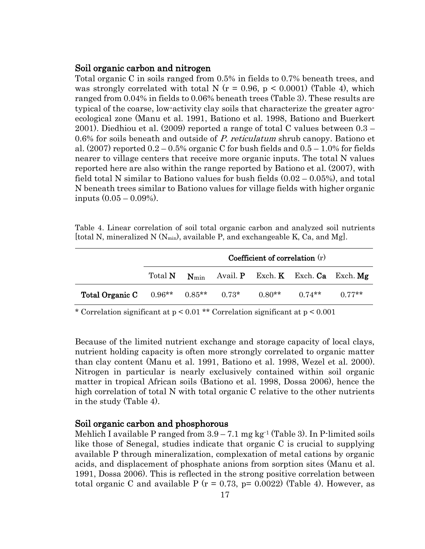## Soil organic carbon and nitrogen

Total organic C in soils ranged from 0.5% in fields to 0.7% beneath trees, and was strongly correlated with total N ( $r = 0.96$ ,  $p \le 0.0001$ ) (Table 4), which ranged from 0.04% in fields to 0.06% beneath trees (Table 3). These results are typical of the coarse, low-activity clay soils that characterize the greater agroecological zone [\(Manu et al. 1991,](#page-41-6) [Bationo et al. 1998,](#page-38-0) [Bationo and Buerkert](#page-38-3)  [2001\)](#page-38-3). Diedhiou et al. (2009) reported a range of total C values between 0.3 – 0.6% for soils beneath and outside of P. reticulatum shrub canopy. Bationo et al.  $(2007)$  reported  $0.2 - 0.5\%$  organic C for bush fields and  $0.5 - 1.0\%$  for fields nearer to village centers that receive more organic inputs. The total N values reported here are also within the range reported by Bationo et al. (2007), with field total N similar to Bationo values for bush fields  $(0.02 - 0.05\%)$ , and total N beneath trees similar to Bationo values for village fields with higher organic inputs (0.05 – 0.09%).

Table 4. Linear correlation of soil total organic carbon and analyzed soil nutrients [total N, mineralized N  $(N_{min})$ , available P, and exchangeable K, Ca, and Mg].

|                                            | Coefficient of correlation $(r)$ |  |  |  |                                              |          |  |
|--------------------------------------------|----------------------------------|--|--|--|----------------------------------------------|----------|--|
|                                            | Total <b>N</b>                   |  |  |  | $N_{\min}$ Avail P Exch. K Exch. Ca Exch. Mg |          |  |
| Total Organic C 0.96** 0.85** 0.73* 0.80** |                                  |  |  |  | $0.74**$                                     | $0.77**$ |  |

\* Correlation significant at p < 0.01 \*\* Correlation significant at p < 0.001

Because of the limited nutrient exchange and storage capacity of local clays, nutrient holding capacity is often more strongly correlated to organic matter than clay content [\(Manu et al. 1991,](#page-41-6) [Bationo et al. 1998,](#page-38-0) [Wezel et al. 2000\)](#page-42-10). Nitrogen in particular is nearly exclusively contained within soil organic matter in tropical African soils [\(Bationo et al. 1998,](#page-38-0) [Dossa 2006\)](#page-39-2), hence the high correlation of total N with total organic C relative to the other nutrients in the study (Table 4).

### Soil organic carbon and phosphorous

Mehlich I available P ranged from  $3.9 - 7.1$  mg kg<sup>-1</sup> (Table 3). In P-limited soils like those of Senegal, studies indicate that organic C is crucial to supplying available P through mineralization, complexation of metal cations by organic acids, and displacement of phosphate anions from sorption sites [\(Manu et al.](#page-41-6)  [1991,](#page-41-6) [Dossa 2006\)](#page-39-2). This is reflected in the strong positive correlation between total organic C and available P ( $r = 0.73$ ,  $p = 0.0022$ ) (Table 4). However, as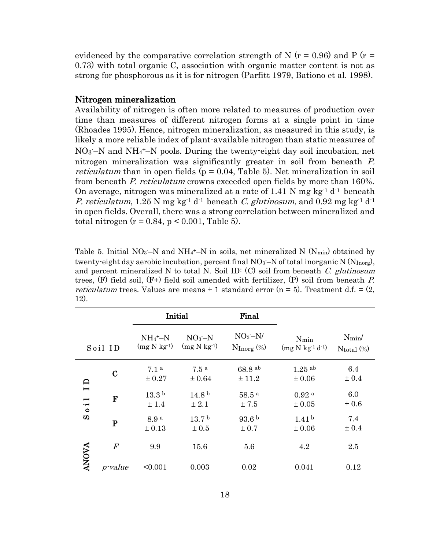evidenced by the comparative correlation strength of N ( $r = 0.96$ ) and P ( $r =$ 0.73) with total organic C, association with organic matter content is not as strong for phosphorous as it is for nitrogen [\(Parfitt 1979,](#page-41-7) [Bationo et al. 1998\)](#page-38-0).

### Nitrogen mineralization

Availability of nitrogen is often more related to measures of production over time than measures of different nitrogen forms at a single point in time [\(Rhoades 1995\)](#page-41-8). Hence, nitrogen mineralization, as measured in this study, is likely a more reliable index of plant-available nitrogen than static measures of NO3 -–N and NH<sup>4</sup> <sup>+</sup>–N pools. During the twenty-eight day soil incubation, net nitrogen mineralization was significantly greater in soil from beneath P. *reticulatum* than in open fields ( $p = 0.04$ , Table 5). Net mineralization in soil from beneath P. reticulatum crowns exceeded open fields by more than 160%. On average, nitrogen was mineralized at a rate of 1.41 N mg kg<sup>-1</sup> d<sup>-1</sup> beneath *P. reticulatum*, 1.25 N mg kg<sup>-1</sup> d<sup>-1</sup> beneath *C. glutinosum*, and 0.92 mg kg<sup>-1</sup> d<sup>-1</sup> in open fields. Overall, there was a strong correlation between mineralized and total nitrogen  $(r = 0.84, p < 0.001,$  Table 5).

Table 5. Initial  $NO_3-N$  and  $NH_4^+$ -N in soils, net mineralized N  $(N_{min})$  obtained by twenty-eight day aerobic incubation, percent final  $NO<sub>3</sub>$ –N of total inorganic N (N<sub>Inorg</sub>), and percent mineralized N to total N. Soil ID: (C) soil from beneath C. glutinosum trees,  $(F)$  field soil,  $(F+)$  field soil amended with fertilizer,  $(P)$  soil from beneath P. *reticulatum* trees. Values are means  $\pm$  1 standard error (n = 5). Treatment d.f. = (2, 12).

|                                                                 |                  | Initial                                |                                                | Final                                         |                                 |                                    |
|-----------------------------------------------------------------|------------------|----------------------------------------|------------------------------------------------|-----------------------------------------------|---------------------------------|------------------------------------|
| Soil ID                                                         |                  | $NH_4^+$ -N<br>(mg N kg <sup>1</sup> ) | NO <sub>3</sub> –N<br>$(mg \text{ N kg}^{-1})$ | NO <sub>3</sub> –N/<br>$N_{\text{Inorg}}(\%)$ | $N_{\min}$<br>$(mg N kg-1 d-1)$ | $N_{\rm min}$ /<br>$N_{total}$ (%) |
| $\mathsf{D}$                                                    | $\bf C$          | 7.1 <sup>a</sup><br>± 0.27             | 7.5 <sup>a</sup><br>± 0.64                     | 68.8 ab<br>± 11.2                             | $1.25$ ab<br>$\pm 0.06$         | 6.4<br>± 0.4                       |
| $\blacksquare$<br>−<br>$\cdot$ $\blacksquare$<br>$\circ$<br>ΩD. | $\mathbf F$      | 13.3 <sup>b</sup><br>± 1.4             | 14.8 <sup>b</sup><br>$\pm 2.1$                 | 58.5a<br>± 7.5                                | 0.92 <sup>a</sup><br>$\pm 0.05$ | 6.0<br>$\pm 0.6$                   |
|                                                                 | ${\bf P}$        | 8.9 a<br>± 0.13                        | 13.7 <sup>b</sup><br>$\pm 0.5$                 | 93.6 <sup>b</sup><br>$\pm 0.7$                | 1.41 <sup>b</sup><br>$\pm 0.06$ | 7.4<br>± 0.4                       |
|                                                                 | $\boldsymbol{F}$ | 9.9                                    | 15.6                                           | 5.6                                           | 4.2                             | 2.5                                |
| <b>ANOVA</b>                                                    | <i>p</i> -value  | < 0.001                                | 0.003                                          | 0.02                                          | 0.041                           | 0.12                               |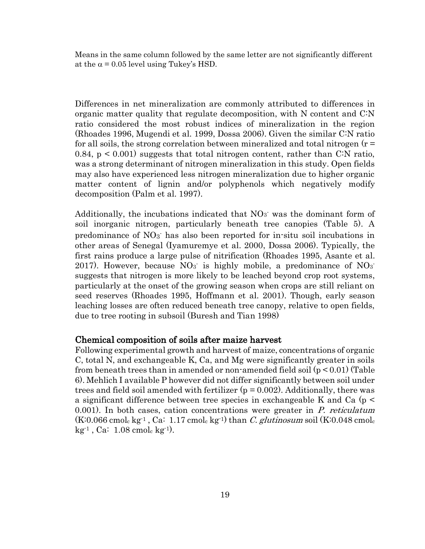Means in the same column followed by the same letter are not significantly different at the  $\alpha$  = 0.05 level using Tukey's HSD.

Differences in net mineralization are commonly attributed to differences in organic matter quality that regulate decomposition, with N content and C:N ratio considered the most robust indices of mineralization in the region [\(Rhoades 1996,](#page-41-0) [Mugendi et al. 1999,](#page-41-9) [Dossa 2006\)](#page-39-2). Given the similar C:N ratio for all soils, the strong correlation between mineralized and total nitrogen  $(r =$ 0.84,  $p \leq 0.001$ ) suggests that total nitrogen content, rather than C:N ratio, was a strong determinant of nitrogen mineralization in this study. Open fields may also have experienced less nitrogen mineralization due to higher organic matter content of lignin and/or polyphenols which negatively modify decomposition [\(Palm et al. 1997\)](#page-41-10).

Additionally, the incubations indicated that  $NO<sub>3</sub>$  was the dominant form of soil inorganic nitrogen, particularly beneath tree canopies (Table 5). A predominance of NO<sub>3</sub> has also been reported for in-situ soil incubations in other areas of Senegal [\(Iyamuremye et al. 2000,](#page-40-8) [Dossa 2006\)](#page-39-2). Typically, the first rains produce a large pulse of nitrification [\(Rhoades 1995,](#page-41-8) [Asante et al.](#page-38-11)  [2017\)](#page-38-11). However, because  $NO_3$  is highly mobile, a predominance of  $NO_3$ suggests that nitrogen is more likely to be leached beyond crop root systems, particularly at the onset of the growing season when crops are still reliant on seed reserves [\(Rhoades 1995,](#page-41-8) [Hoffmann et al. 2001\)](#page-40-10). Though, early season leaching losses are often reduced beneath tree canopy, relative to open fields, due to tree rooting in subsoil [\(Buresh and Tian 1998\)](#page-39-4)

#### Chemical composition of soils after maize harvest

Following experimental growth and harvest of maize, concentrations of organic C, total N, and exchangeable K, Ca, and Mg were significantly greater in soils from beneath trees than in amended or non-amended field soil (p < 0.01) (Table 6). Mehlich I available P however did not differ significantly between soil under trees and field soil amended with fertilizer  $(p = 0.002)$ . Additionally, there was a significant difference between tree species in exchangeable K and Ca (p < 0.001). In both cases, cation concentrations were greater in  $P$ . reticulatum  $(K:0.066$  cmol<sub>c</sub> kg<sup>-1</sup>, Ca: 1.17 cmol<sub>c</sub> kg<sup>-1</sup>) than *C. glutinosum* soil (K:0.048 cmol<sub>c</sub>  $kg^{-1}$ , Ca: 1.08 cmol<sub>c</sub> kg<sup>-1</sup>).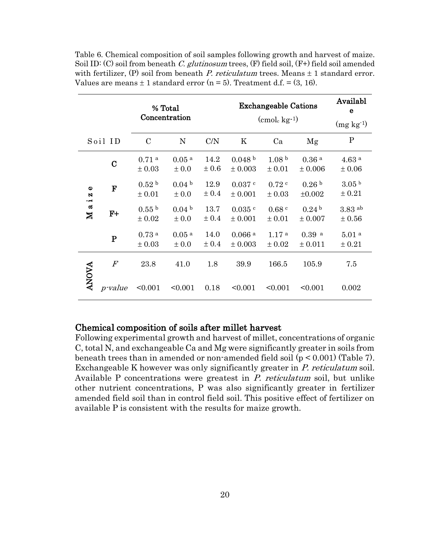| % Total                                            |                  |                             |                                  |                   | Availabl<br>e                       |                                 |                                  |                                 |  |
|----------------------------------------------------|------------------|-----------------------------|----------------------------------|-------------------|-------------------------------------|---------------------------------|----------------------------------|---------------------------------|--|
|                                                    |                  | Concentration               |                                  |                   |                                     | $(\text{cmol}_c \text{ kg-1})$  |                                  |                                 |  |
|                                                    | Soil ID          | $\mathcal{C}$               | N                                | C/N               | K                                   | Ca                              | Mg                               | $\mathbf{P}$                    |  |
|                                                    | $\mathbf C$      | 0.71 <sup>a</sup><br>± 0.03 | 0.05 <sup>a</sup><br>$\pm 0.0$   | 14.2<br>$\pm 0.6$ | 0.048 <sup>b</sup><br>$\pm 0.003$   | 1.08 <sup>b</sup><br>± 0.01     | 0.36 <sup>a</sup><br>± 0.006     | 4.63 <sup>a</sup><br>$\pm 0.06$ |  |
| $\bullet$<br>N<br>$\cdot$ $\blacksquare$<br>ದ<br>⊠ | F                | 0.52 <sup>b</sup><br>± 0.01 | 0.04 <sup>b</sup><br>± 0.0       | 12.9<br>± 0.4     | 0.037c<br>$\pm 0.001$               | 0.72c<br>$\pm 0.03$             | 0.26 <sup>b</sup><br>$\pm 0.002$ | 3.05 <sup>b</sup><br>± 0.21     |  |
|                                                    | $F+$             | 0.55 <sup>b</sup><br>± 0.02 | 0.04 <sup>b</sup><br>± 0.0       | 13.7<br>± 0.4     | $0.035$ c<br>$\pm 0.001$            | 0.68 <sup>c</sup><br>$\pm 0.01$ | 0.24 <sup>b</sup><br>$\pm 0.007$ | $3.83$ ab<br>$\pm 0.56$         |  |
|                                                    | ${\bf P}$        | 0.73 <sup>a</sup><br>± 0.03 | $0.05$ <sup>a</sup><br>$\pm 0.0$ | 14.0<br>± 0.4     | $0.066$ <sup>a</sup><br>$\pm 0.003$ | 1.17 <sup>a</sup><br>± 0.02     | $0.39$ a<br>± 0.011              | 5.01 <sup>a</sup><br>± 0.21     |  |
| <b>ANOVA</b>                                       | $\boldsymbol{F}$ | 23.8                        | 41.0                             | 1.8               | 39.9                                | 166.5                           | 105.9                            | 7.5                             |  |
|                                                    | <i>p</i> -value  | < 0.001                     | < 0.001                          | 0.18              | < 0.001                             | < 0.001                         | < 0.001                          | 0.002                           |  |

Table 6. Chemical composition of soil samples following growth and harvest of maize. Soil ID: (C) soil from beneath C. glutinosum trees,  $(F)$  field soil,  $(F+)$  field soil amended with fertilizer, (P) soil from beneath P. reticulatum trees. Means  $\pm 1$  standard error. Values are means  $\pm 1$  standard error (n = 5). Treatment d.f. = (3, 16).

## Chemical composition of soils after millet harvest

Following experimental growth and harvest of millet, concentrations of organic C, total N, and exchangeable Ca and Mg were significantly greater in soils from beneath trees than in amended or non-amended field soil (p < 0.001) (Table 7). Exchangeable K however was only significantly greater in P. reticulatum soil. Available P concentrations were greatest in P. reticulatum soil, but unlike other nutrient concentrations, P was also significantly greater in fertilizer amended field soil than in control field soil. This positive effect of fertilizer on available P is consistent with the results for maize growth.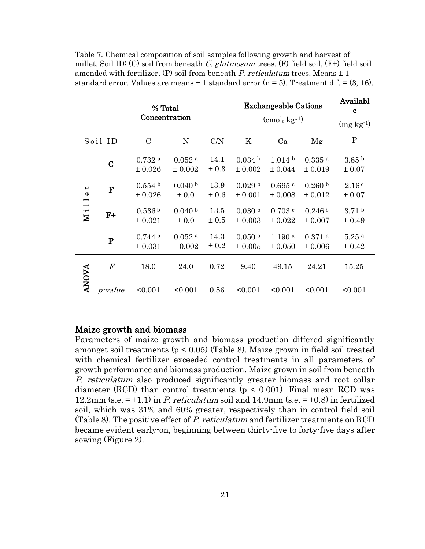| % Total<br>Concentration                                                  |                  |                                     |                                     | <b>Exchangeable Cations</b> | Availabl<br>e                     |                                 |                                 |                               |  |
|---------------------------------------------------------------------------|------------------|-------------------------------------|-------------------------------------|-----------------------------|-----------------------------------|---------------------------------|---------------------------------|-------------------------------|--|
|                                                                           |                  |                                     |                                     |                             |                                   | $\rm (cmol_c\,kg\text{-}1)$     |                                 |                               |  |
|                                                                           | Soil ID          | $\mathcal{C}$                       | N                                   | C/N                         | K                                 | Ca                              | Mg                              | $\overline{P}$                |  |
| ب<br>$\bullet$<br>Ī<br>$\overline{\phantom{0}}$<br>$\mathbf{\tilde{M}}$ i | $\mathbf C$      | $0.732$ <sup>a</sup><br>$\pm 0.026$ | $0.052$ <sup>a</sup><br>$\pm$ 0.002 | 14.1<br>$\pm 0.3$           | 0.034 <sup>b</sup><br>± 0.002     | 1.014 <sup>b</sup><br>± 0.044   | $0.335$ a<br>$\pm 0.019$        | 3.85 <sup>b</sup><br>± 0.07   |  |
|                                                                           | F                | 0.554 <sup>b</sup><br>$\pm 0.026$   | 0.040 <sup>b</sup><br>$\pm 0.0$     | 13.9<br>$\pm 0.6$           | 0.029 <sup>b</sup><br>$\pm 0.001$ | 0.695c<br>$\pm 0.008$           | 0.260 b<br>± 0.012              | 2.16c<br>± 0.07               |  |
|                                                                           | $F+$             | 0.536 <sup>b</sup><br>± 0.021       | 0.040 <sup>b</sup><br>$\pm 0.0$     | 13.5<br>$\pm 0.5$           | 0.030 <sup>b</sup><br>$\pm 0.003$ | 0.703c<br>± 0.022               | 0.246 <sup>b</sup><br>± 0.007   | 3.71 <sup>b</sup><br>± 0.49   |  |
|                                                                           | $\mathbf P$      | $0.744$ <sup>a</sup><br>± 0.031     | $0.052$ <sup>a</sup><br>± 0.002     | 14.3<br>± 0.2               | $0.050$ <sup>a</sup><br>± 0.005   | $1.190$ <sup>a</sup><br>± 0.050 | $0.371$ <sup>a</sup><br>± 0.006 | $5.25$ <sup>a</sup><br>± 0.42 |  |
| <b>ANOVA</b>                                                              | $\boldsymbol{F}$ | 18.0                                | 24.0                                | 0.72                        | 9.40                              | 49.15                           | 24.21                           | 15.25                         |  |
|                                                                           | <i>p</i> -value  | < 0.001                             | < 0.001                             | 0.56                        | < 0.001                           | < 0.001                         | < 0.001                         | < 0.001                       |  |

Table 7. Chemical composition of soil samples following growth and harvest of millet. Soil ID: (C) soil from beneath C. glutinosum trees,  $(F)$  field soil,  $(F+)$  field soil amended with fertilizer, (P) soil from beneath P. reticulatum trees. Means  $\pm 1$ standard error. Values are means  $\pm 1$  standard error (n = 5). Treatment d.f. = (3, 16).

### Maize growth and biomass

Parameters of maize growth and biomass production differed significantly amongst soil treatments (p < 0.05) (Table 8). Maize grown in field soil treated with chemical fertilizer exceeded control treatments in all parameters of growth performance and biomass production. Maize grown in soil from beneath P. reticulatum also produced significantly greater biomass and root collar diameter (RCD) than control treatments ( $p < 0.001$ ). Final mean RCD was 12.2mm (s.e.  $=\pm 1.1$ ) in P. reticulatum soil and 14.9mm (s.e.  $=\pm 0.8$ ) in fertilized soil, which was 31% and 60% greater, respectively than in control field soil (Table 8). The positive effect of P. reticulatum and fertilizer treatments on RCD became evident early-on, beginning between thirty-five to forty-five days after sowing (Figure 2).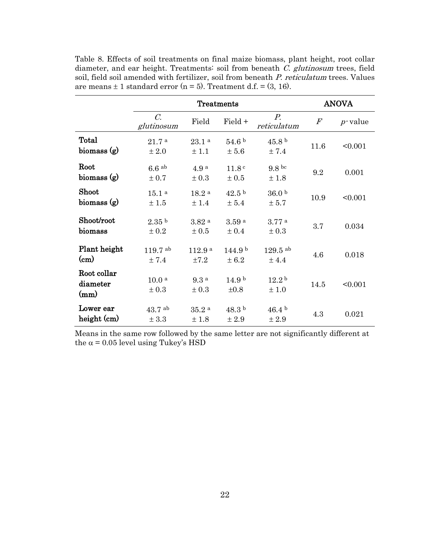|                                 | <b>Treatments</b>                  |                              |                                 |                                  |         | <b>ANOVA</b> |  |
|---------------------------------|------------------------------------|------------------------------|---------------------------------|----------------------------------|---------|--------------|--|
|                                 | $\mathcal{C}$ .<br>glutinosum      | Field                        | Field +                         | $P_{\cdot}$<br>reticulatum       | $\it F$ | $p$ -value   |  |
| Total<br>biomass (g)            | 21.7 <sup>a</sup><br>± 2.0         | 23.1 <sup>a</sup><br>± 1.1   | 54.6 <sup>b</sup><br>± 5.6      | 45.8 <sup>b</sup><br>± 7.4       | 11.6    | < 0.001      |  |
| Root<br>biomass (g)             | $6.6$ ab<br>± 0.7                  | 4.9 <sup>a</sup><br>± 0.3    | 11.8 <sup>c</sup><br>$\pm$ 0.5  | 9.8 <sup>bc</sup><br>±1.8        | 9.2     | 0.001        |  |
| Shoot<br>biomass (g)            | 15.1 <sup>a</sup><br>±1.5          | 18.2 <sup>a</sup><br>± 1.4   | 42.5 <sup>b</sup><br>± 5.4      | 36.0 <sup>b</sup><br>± 5.7       | 10.9    | < 0.001      |  |
| Shoot/root<br>biomass           | 2.35 <sup>b</sup><br>± 0.2         | $3.82$ <sup>a</sup><br>± 0.5 | 3.59a<br>± 0.4                  | 3.77 <sup>a</sup><br>$\pm 0.3$   | 3.7     | 0.034        |  |
| Plant height<br>$\rm _{(cm)}$   | $119.7$ <sup>ab</sup><br>$\pm$ 7.4 | 112.9a<br>±7.2               | 144.9 <sup>b</sup><br>± 6.2     | $129.5$ <sup>ab</sup><br>$±$ 4.4 | 4.6     | 0.018        |  |
| Root collar<br>diameter<br>(mm) | 10.0 <sup>a</sup><br>± 0.3         | 9.3a<br>$\pm 0.3$            | 14.9 <sup>b</sup><br>$\pm 0.8$  | 12.2 <sup>b</sup><br>±1.0        | 14.5    | < 0.001      |  |
| Lower ear<br>height (cm)        | $43.7$ ab<br>$\pm$ 3.3             | 35.2 <sup>a</sup><br>±1.8    | 48.3 <sup>b</sup><br>$\pm\,2.9$ | 46.4 <sup>b</sup><br>± 2.9       | 4.3     | 0.021        |  |

Table 8. Effects of soil treatments on final maize biomass, plant height, root collar diameter, and ear height. Treatments: soil from beneath C. glutinosum trees, field soil, field soil amended with fertilizer, soil from beneath P. reticulatum trees. Values are means  $\pm$  1 standard error (n = 5). Treatment d.f. = (3, 16).

Means in the same row followed by the same letter are not significantly different at the  $\alpha$  = 0.05 level using Tukey's HSD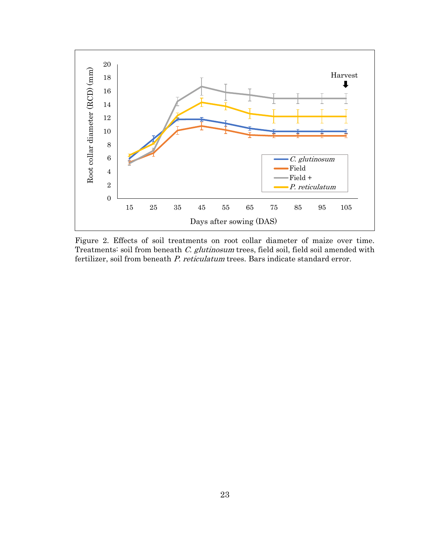

Figure 2. Effects of soil treatments on root collar diameter of maize over time. Treatments: soil from beneath C. glutinosum trees, field soil, field soil amended with fertilizer, soil from beneath P. reticulatum trees. Bars indicate standard error.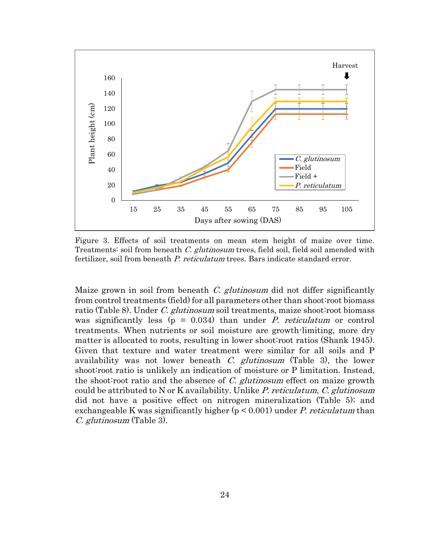

Figure 3. Effects of soil treatments on mean stem height of maize over time. Treatments: soil from beneath C. glutinosum trees, field soil, field soil amended with fertilizer, soil from beneath P. reticulatum trees. Bars indicate standard error.

Maize grown in soil from beneath  $C$ . glutinosum did not differ significantly from control treatments (field) for all parameters other than shoot:root biomass ratio (Table 8). Under C. glutinosum soil treatments, maize shoot: root biomass was significantly less ( $p = 0.034$ ) than under *P. reticulatum* or control treatments. When nutrients or soil moisture are growth-limiting, more dry matter is allocated to roots, resulting in lower shoot:root ratios [\(Shank 1945\)](#page-42-11). Given that texture and water treatment were similar for all soils and P availability was not lower beneath C. glutinosum (Table 3), the lower shoot:root ratio is unlikely an indication of moisture or P limitation. Instead, the shoot root ratio and the absence of  $C$ . glutinosum effect on maize growth could be attributed to N or K availability. Unlike P. reticulatum, C. glutinosum did not have a positive effect on nitrogen mineralization (Table 5); and exchangeable K was significantly higher  $(p < 0.001)$  under P. reticulatum than C. glutinosum (Table 3).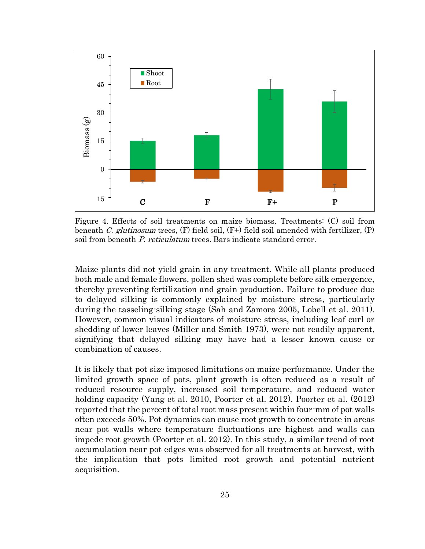

Figure 4. Effects of soil treatments on maize biomass. Treatments: (C) soil from beneath C. glutinosum trees,  $(F)$  field soil,  $(F+)$  field soil amended with fertilizer,  $(P)$ soil from beneath P. reticulatum trees. Bars indicate standard error.

Maize plants did not yield grain in any treatment. While all plants produced both male and female flowers, pollen shed was complete before silk emergence, thereby preventing fertilization and grain production. Failure to produce due to delayed silking is commonly explained by moisture stress, particularly during the tasseling-silking stage [\(Sah and Zamora 2005,](#page-41-11) [Lobell et al. 2011\)](#page-40-11). However, common visual indicators of moisture stress, including leaf curl or shedding of lower leaves [\(Miller and Smith 1973\)](#page-41-12), were not readily apparent, signifying that delayed silking may have had a lesser known cause or combination of causes.

It is likely that pot size imposed limitations on maize performance. Under the limited growth space of pots, plant growth is often reduced as a result of reduced resource supply, increased soil temperature, and reduced water holding capacity [\(Yang et al. 2010,](#page-42-12) [Poorter et al. 2012\)](#page-41-13). Poorter et al. (2012) reported that the percent of total root mass present within four-mm of pot walls often exceeds 50%. Pot dynamics can cause root growth to concentrate in areas near pot walls where temperature fluctuations are highest and walls can impede root growth [\(Poorter et al. 2012\)](#page-41-13). In this study, a similar trend of root accumulation near pot edges was observed for all treatments at harvest, with the implication that pots limited root growth and potential nutrient acquisition.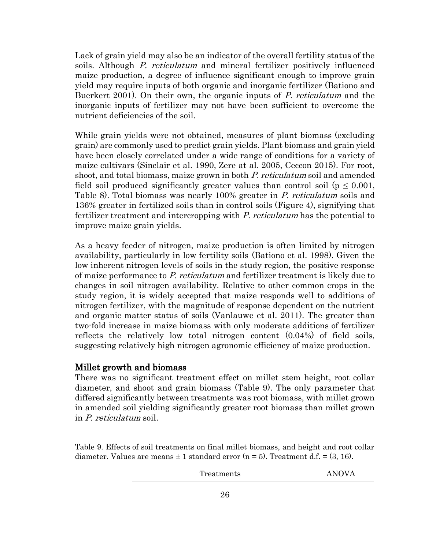Lack of grain yield may also be an indicator of the overall fertility status of the soils. Although P. reticulatum and mineral fertilizer positively influenced maize production, a degree of influence significant enough to improve grain yield may require inputs of both organic and inorganic fertilizer [\(Bationo and](#page-38-3)  [Buerkert 2001\)](#page-38-3). On their own, the organic inputs of P. reticulatum and the inorganic inputs of fertilizer may not have been sufficient to overcome the nutrient deficiencies of the soil.

While grain yields were not obtained, measures of plant biomass (excluding grain) are commonly used to predict grain yields. Plant biomass and grain yield have been closely correlated under a wide range of conditions for a variety of maize cultivars (Sinclair et al. 1990, Zere at al. 2005, Ceccon 2015). For root, shoot, and total biomass, maize grown in both P. reticulatum soil and amended field soil produced significantly greater values than control soil ( $p \leq 0.001$ , Table 8). Total biomass was nearly 100% greater in P. reticulatum soils and 136% greater in fertilized soils than in control soils (Figure 4), signifying that fertilizer treatment and intercropping with P. reticulatum has the potential to improve maize grain yields.

As a heavy feeder of nitrogen, maize production is often limited by nitrogen availability, particularly in low fertility soils [\(Bationo et al. 1998\)](#page-38-0). Given the low inherent nitrogen levels of soils in the study region, the positive response of maize performance to P. reticulatum and fertilizer treatment is likely due to changes in soil nitrogen availability. Relative to other common crops in the study region, it is widely accepted that maize responds well to additions of nitrogen fertilizer, with the magnitude of response dependent on the nutrient and organic matter status of soils [\(Vanlauwe et al. 2011\)](#page-42-1). The greater than two-fold increase in maize biomass with only moderate additions of fertilizer reflects the relatively low total nitrogen content (0.04%) of field soils, suggesting relatively high nitrogen agronomic efficiency of maize production.

## Millet growth and biomass

There was no significant treatment effect on millet stem height, root collar diameter, and shoot and grain biomass (Table 9). The only parameter that differed significantly between treatments was root biomass, with millet grown in amended soil yielding significantly greater root biomass than millet grown in P. reticulatum soil.

Table 9. Effects of soil treatments on final millet biomass, and height and root collar diameter. Values are means  $\pm 1$  standard error (n = 5). Treatment d.f. = (3, 16).

| Treatments | <b>ANOVA</b> |
|------------|--------------|
|------------|--------------|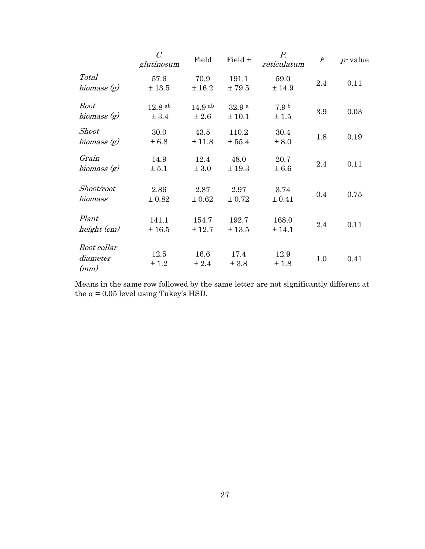|                                 | $\mathcal{C}$ .<br>glutinosum | Field              | Field +                     | $P_{\cdot}$<br>reticulatum | $\boldsymbol{F}$ | $p$ -value |
|---------------------------------|-------------------------------|--------------------|-----------------------------|----------------------------|------------------|------------|
| <b>Total</b><br>biomass $(g)$   | 57.6<br>± 13.5                | 70.9<br>± 16.2     | 191.1<br>±79.5              | 59.0<br>± 14.9             | 2.4              | 0.11       |
| Root<br>biomass $(g)$           | $12.8$ ab<br>± 3.4            | $14.9$ ab<br>± 2.6 | 32.9 <sup>a</sup><br>± 10.1 | 7.9 <sup>b</sup><br>±1.5   | 3.9              | 0.03       |
| <b>Shoot</b><br>biomass $(g)$   | 30.0<br>± 6.8                 | 43.5<br>± 11.8     | 110.2<br>± 55.4             | 30.4<br>± 8.0              | 1.8              | 0.19       |
| Grain<br>biomass (g)            | 14.9<br>$\pm$ 5.1             | 12.4<br>$\pm$ 3.0  | 48.0<br>± 19.3              | 20.7<br>± 6.6              | 2.4              | 0.11       |
| Shoot/root<br>biomass           | 2.86<br>± 0.82                | 2.87<br>± 0.62     | 2.97<br>± 0.72              | 3.74<br>± 0.41             | 0.4              | 0.75       |
| Plant<br>height (cm)            | 141.1<br>±16.5                | 154.7<br>± 12.7    | 192.7<br>± 13.5             | 168.0<br>± 14.1            | 2.4              | 0.11       |
| Root collar<br>diameter<br>(mm) | 12.5<br>± 1.2                 | 16.6<br>± 2.4      | 17.4<br>± 3.8               | 12.9<br>±1.8               | 1.0              | 0.41       |

Means in the same row followed by the same letter are not significantly different at the  $\alpha$  = 0.05 level using Tukey's HSD.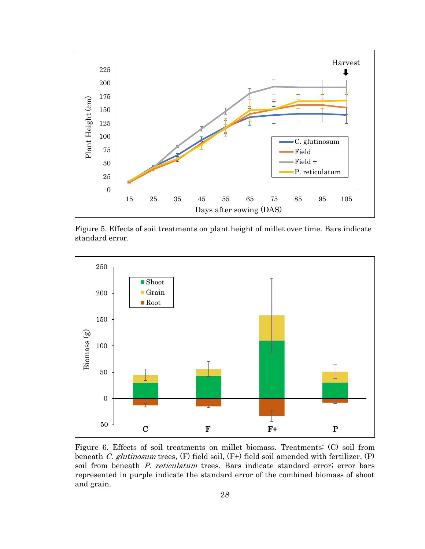

Figure 5. Effects of soil treatments on plant height of millet over time. Bars indicate standard error.



Figure 6. Effects of soil treatments on millet biomass. Treatments: (C) soil from beneath C. glutinosum trees,  $(F)$  field soil,  $(F+)$  field soil amended with fertilizer,  $(P)$ soil from beneath P. reticulatum trees. Bars indicate standard error; error bars represented in purple indicate the standard error of the combined biomass of shoot and grain.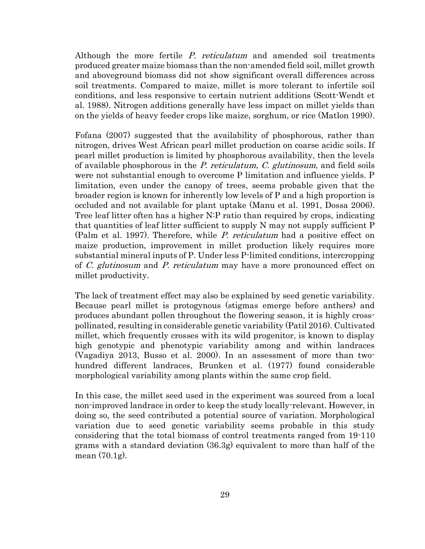Although the more fertile P. reticulatum and amended soil treatments produced greater maize biomass than the non-amended field soil, millet growth and aboveground biomass did not show significant overall differences across soil treatments. Compared to maize, millet is more tolerant to infertile soil conditions, and less responsive to certain nutrient additions [\(Scott-Wendt et](#page-42-13)  [al. 1988\)](#page-42-13). Nitrogen additions generally have less impact on millet yields than on the yields of heavy feeder crops like maize, sorghum, or rice [\(Matlon 1990\)](#page-41-2).

Fofana (2007) suggested that the availability of phosphorous, rather than nitrogen, drives West African pearl millet production on coarse acidic soils. If pearl millet production is limited by phosphorous availability, then the levels of available phosphorous in the P. reticulatum, C. glutinosum, and field soils were not substantial enough to overcome P limitation and influence yields. P limitation, even under the canopy of trees, seems probable given that the broader region is known for inherently low levels of P and a high proportion is occluded and not available for plant uptake [\(Manu et al. 1991,](#page-41-6) [Dossa 2006\)](#page-39-2). Tree leaf litter often has a higher N:P ratio than required by crops, indicating that quantities of leaf litter sufficient to supply N may not supply sufficient P [\(Palm et al. 1997\)](#page-41-10). Therefore, while P. reticulatum had a positive effect on maize production, improvement in millet production likely requires more substantial mineral inputs of P. Under less P-limited conditions, intercropping of C. glutinosum and P. reticulatum may have a more pronounced effect on millet productivity.

The lack of treatment effect may also be explained by seed genetic variability. Because pearl millet is protogynous (stigmas emerge before anthers) and produces abundant pollen throughout the flowering season, it is highly crosspollinated, resulting in considerable genetic variability [\(Patil 2016\)](#page-41-14). Cultivated millet, which frequently crosses with its wild progenitor, is known to display high genotypic and phenotypic variability among and within landraces (Vagadiya 2013, Busso et al. 2000). In an assessment of more than twohundred different landraces, Brunken et al. (1977) found considerable morphological variability among plants within the same crop field.

In this case, the millet seed used in the experiment was sourced from a local non-improved landrace in order to keep the study locally-relevant. However, in doing so, the seed contributed a potential source of variation. Morphological variation due to seed genetic variability seems probable in this study considering that the total biomass of control treatments ranged from 19-110 grams with a standard deviation (36.3g) equivalent to more than half of the mean (70.1g).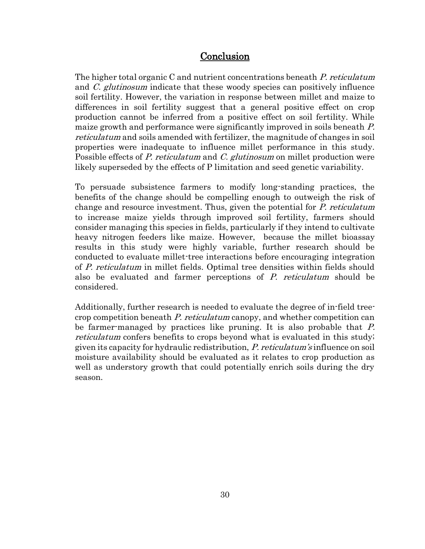# **Conclusion**

The higher total organic C and nutrient concentrations beneath P. reticulatum and *C. glutinosum* indicate that these woody species can positively influence soil fertility. However, the variation in response between millet and maize to differences in soil fertility suggest that a general positive effect on crop production cannot be inferred from a positive effect on soil fertility. While maize growth and performance were significantly improved in soils beneath P. reticulatum and soils amended with fertilizer, the magnitude of changes in soil properties were inadequate to influence millet performance in this study. Possible effects of P. reticulatum and C. glutinosum on millet production were likely superseded by the effects of P limitation and seed genetic variability.

To persuade subsistence farmers to modify long-standing practices, the benefits of the change should be compelling enough to outweigh the risk of change and resource investment. Thus, given the potential for P. reticulatum to increase maize yields through improved soil fertility, farmers should consider managing this species in fields, particularly if they intend to cultivate heavy nitrogen feeders like maize. However, because the millet bioassay results in this study were highly variable, further research should be conducted to evaluate millet-tree interactions before encouraging integration of P. reticulatum in millet fields. Optimal tree densities within fields should also be evaluated and farmer perceptions of P. reticulatum should be considered.

Additionally, further research is needed to evaluate the degree of in-field treecrop competition beneath P. reticulatum canopy, and whether competition can be farmer-managed by practices like pruning. It is also probable that P. reticulatum confers benefits to crops beyond what is evaluated in this study; given its capacity for hydraulic redistribution, P. reticulatum's influence on soil moisture availability should be evaluated as it relates to crop production as well as understory growth that could potentially enrich soils during the dry season.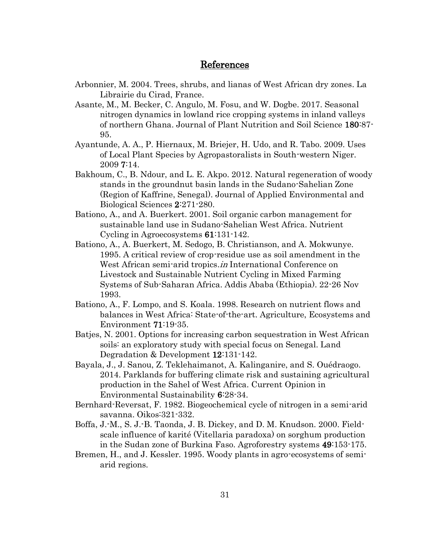## References

- <span id="page-38-8"></span>Arbonnier, M. 2004. Trees, shrubs, and lianas of West African dry zones. La Librairie du Cirad, France.
- <span id="page-38-11"></span>Asante, M., M. Becker, C. Angulo, M. Fosu, and W. Dogbe. 2017. Seasonal nitrogen dynamics in lowland rice cropping systems in inland valleys of northern Ghana. Journal of Plant Nutrition and Soil Science 180:87- 95.
- <span id="page-38-9"></span>Ayantunde, A. A., P. Hiernaux, M. Briejer, H. Udo, and R. Tabo. 2009. Uses of Local Plant Species by Agropastoralists in South-western Niger. 2009 7:14.
- <span id="page-38-6"></span>Bakhoum, C., B. Ndour, and L. E. Akpo. 2012. Natural regeneration of woody stands in the groundnut basin lands in the Sudano-Sahelian Zone (Region of Kaffrine, Senegal). Journal of Applied Environmental and Biological Sciences 2:271-280.
- <span id="page-38-3"></span>Bationo, A., and A. Buerkert. 2001. Soil organic carbon management for sustainable land use in Sudano-Sahelian West Africa. Nutrient Cycling in Agroecosystems 61:131-142.
- <span id="page-38-2"></span>Bationo, A., A. Buerkert, M. Sedogo, B. Christianson, and A. Mokwunye. 1995. A critical review of crop-residue use as soil amendment in the West African semi-arid tropics.*in* International Conference on Livestock and Sustainable Nutrient Cycling in Mixed Farming Systems of Sub-Saharan Africa. Addis Ababa (Ethiopia). 22-26 Nov 1993.
- <span id="page-38-0"></span>Bationo, A., F. Lompo, and S. Koala. 1998. Research on nutrient flows and balances in West Africa: State-of-the-art. Agriculture, Ecosystems and Environment 71:19-35.
- <span id="page-38-1"></span>Batjes, N. 2001. Options for increasing carbon sequestration in West African soils: an exploratory study with special focus on Senegal. Land Degradation & Development 12:131-142.
- <span id="page-38-5"></span>Bayala, J., J. Sanou, Z. Teklehaimanot, A. Kalinganire, and S. Ouédraogo. 2014. Parklands for buffering climate risk and sustaining agricultural production in the Sahel of West Africa. Current Opinion in Environmental Sustainability 6:28-34.
- <span id="page-38-10"></span>Bernhard-Reversat, F. 1982. Biogeochemical cycle of nitrogen in a semi-arid savanna. Oikos:321-332.
- <span id="page-38-4"></span>Boffa, J.-M., S. J.-B. Taonda, J. B. Dickey, and D. M. Knudson. 2000. Fieldscale influence of karité (Vitellaria paradoxa) on sorghum production in the Sudan zone of Burkina Faso. Agroforestry systems 49:153-175.
- <span id="page-38-7"></span>Bremen, H., and J. Kessler. 1995. Woody plants in agro-ecosystems of semiarid regions.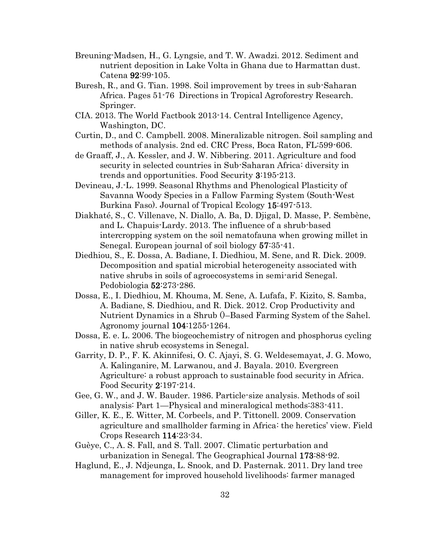- <span id="page-39-14"></span>Breuning-Madsen, H., G. Lyngsie, and T. W. Awadzi. 2012. Sediment and nutrient deposition in Lake Volta in Ghana due to Harmattan dust. Catena 92:99-105.
- <span id="page-39-4"></span>Buresh, R., and G. Tian. 1998. Soil improvement by trees in sub-Saharan Africa. Pages 51-76 Directions in Tropical Agroforestry Research. Springer.
- <span id="page-39-9"></span>CIA. 2013. The World Factbook 2013-14. Central Intelligence Agency, Washington, DC.
- <span id="page-39-12"></span>Curtin, D., and C. Campbell. 2008. Mineralizable nitrogen. Soil sampling and methods of analysis. 2nd ed. CRC Press, Boca Raton, FL:599-606.
- <span id="page-39-1"></span>de Graaff, J., A. Kessler, and J. W. Nibbering. 2011. Agriculture and food security in selected countries in Sub-Saharan Africa: diversity in trends and opportunities. Food Security 3:195-213.
- <span id="page-39-8"></span>Devineau, J.-L. 1999. Seasonal Rhythms and Phenological Plasticity of Savanna Woody Species in a Fallow Farming System (South-West Burkina Faso). Journal of Tropical Ecology 15:497-513.
- <span id="page-39-13"></span>Diakhaté, S., C. Villenave, N. Diallo, A. Ba, D. Djigal, D. Masse, P. Sembène, and L. Chapuis-Lardy. 2013. The influence of a shrub-based intercropping system on the soil nematofauna when growing millet in Senegal. European journal of soil biology 57:35-41.
- <span id="page-39-6"></span>Diedhiou, S., E. Dossa, A. Badiane, I. Diedhiou, M. Sene, and R. Dick. 2009. Decomposition and spatial microbial heterogeneity associated with native shrubs in soils of agroecosystems in semi-arid Senegal. Pedobiologia 52:273-286.
- <span id="page-39-7"></span>Dossa, E., I. Diedhiou, M. Khouma, M. Sene, A. Lufafa, F. Kizito, S. Samba, A. Badiane, S. Diedhiou, and R. Dick. 2012. Crop Productivity and Nutrient Dynamics in a Shrub ()–Based Farming System of the Sahel. Agronomy journal 104:1255-1264.
- <span id="page-39-2"></span>Dossa, E. e. L. 2006. The biogeochemistry of nitrogen and phosphorus cycling in native shrub ecosystems in Senegal.
- <span id="page-39-0"></span>Garrity, D. P., F. K. Akinnifesi, O. C. Ajayi, S. G. Weldesemayat, J. G. Mowo, A. Kalinganire, M. Larwanou, and J. Bayala. 2010. Evergreen Agriculture: a robust approach to sustainable food security in Africa. Food Security 2:197-214.
- <span id="page-39-11"></span>Gee, G. W., and J. W. Bauder. 1986. Particle-size analysis. Methods of soil analysis: Part 1—Physical and mineralogical methods:383-411.
- <span id="page-39-3"></span>Giller, K. E., E. Witter, M. Corbeels, and P. Tittonell. 2009. Conservation agriculture and smallholder farming in Africa: the heretics' view. Field Crops Research 114:23-34.
- <span id="page-39-10"></span>Guèye, C., A. S. Fall, and S. Tall. 2007. Climatic perturbation and urbanization in Senegal. The Geographical Journal 173:88-92.
- <span id="page-39-5"></span>Haglund, E., J. Ndjeunga, L. Snook, and D. Pasternak. 2011. Dry land tree management for improved household livelihoods: farmer managed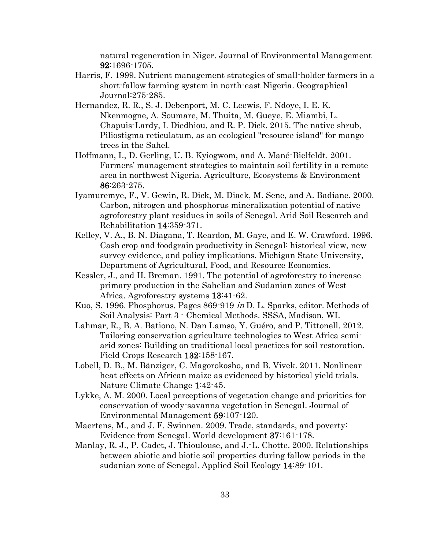natural regeneration in Niger. Journal of Environmental Management 92:1696-1705.

- <span id="page-40-9"></span>Harris, F. 1999. Nutrient management strategies of small-holder farmers in a short-fallow farming system in north-east Nigeria. Geographical Journal:275-285.
- <span id="page-40-3"></span>Hernandez, R. R., S. J. Debenport, M. C. Leewis, F. Ndoye, I. E. K. Nkenmogne, A. Soumare, M. Thuita, M. Gueye, E. Miambi, L. Chapuis-Lardy, I. Diedhiou, and R. P. Dick. 2015. The native shrub, Piliostigma reticulatum, as an ecological "resource island" for mango trees in the Sahel.
- <span id="page-40-10"></span>Hoffmann, I., D. Gerling, U. B. Kyiogwom, and A. Mané-Bielfeldt. 2001. Farmers' management strategies to maintain soil fertility in a remote area in northwest Nigeria. Agriculture, Ecosystems & Environment 86:263-275.
- <span id="page-40-8"></span>Iyamuremye, F., V. Gewin, R. Dick, M. Diack, M. Sene, and A. Badiane. 2000. Carbon, nitrogen and phosphorus mineralization potential of native agroforestry plant residues in soils of Senegal. Arid Soil Research and Rehabilitation 14:359-371.
- <span id="page-40-4"></span>Kelley, V. A., B. N. Diagana, T. Reardon, M. Gaye, and E. W. Crawford. 1996. Cash crop and foodgrain productivity in Senegal: historical view, new survey evidence, and policy implications. Michigan State University, Department of Agricultural, Food, and Resource Economics.
- <span id="page-40-6"></span>Kessler, J., and H. Breman. 1991. The potential of agroforestry to increase primary production in the Sahelian and Sudanian zones of West Africa. Agroforestry systems 13:41-62.
- <span id="page-40-7"></span>Kuo, S. 1996. Phosphorus. Pages 869-919 in D. L. Sparks, editor. Methods of Soil Analysis: Part 3 - Chemical Methods. SSSA, Madison, WI.
- <span id="page-40-0"></span>Lahmar, R., B. A. Bationo, N. Dan Lamso, Y. Guéro, and P. Tittonell. 2012. Tailoring conservation agriculture technologies to West Africa semiarid zones: Building on traditional local practices for soil restoration. Field Crops Research 132:158-167.
- <span id="page-40-11"></span>Lobell, D. B., M. Bänziger, C. Magorokosho, and B. Vivek. 2011. Nonlinear heat effects on African maize as evidenced by historical yield trials. Nature Climate Change 1:42-45.
- <span id="page-40-2"></span>Lykke, A. M. 2000. Local perceptions of vegetation change and priorities for conservation of woody-savanna vegetation in Senegal. Journal of Environmental Management 59:107-120.
- <span id="page-40-5"></span>Maertens, M., and J. F. Swinnen. 2009. Trade, standards, and poverty: Evidence from Senegal. World development 37:161-178.
- <span id="page-40-1"></span>Manlay, R. J., P. Cadet, J. Thioulouse, and J.-L. Chotte. 2000. Relationships between abiotic and biotic soil properties during fallow periods in the sudanian zone of Senegal. Applied Soil Ecology 14:89-101.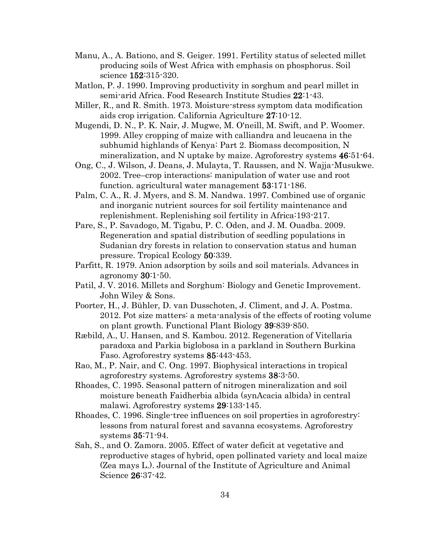- <span id="page-41-6"></span>Manu, A., A. Bationo, and S. Geiger. 1991. Fertility status of selected millet producing soils of West Africa with emphasis on phosphorus. Soil science 152:315-320.
- <span id="page-41-2"></span>Matlon, P. J. 1990. Improving productivity in sorghum and pearl millet in semi-arid Africa. Food Research Institute Studies 22:1-43.
- <span id="page-41-12"></span>Miller, R., and R. Smith. 1973. Moisture-stress symptom data modification aids crop irrigation. California Agriculture 27:10-12.
- <span id="page-41-9"></span>Mugendi, D. N., P. K. Nair, J. Mugwe, M. O'neill, M. Swift, and P. Woomer. 1999. Alley cropping of maize with calliandra and leucaena in the subhumid highlands of Kenya: Part 2. Biomass decomposition, N mineralization, and N uptake by maize. Agroforestry systems 46:51-64.
- <span id="page-41-1"></span>Ong, C., J. Wilson, J. Deans, J. Mulayta, T. Raussen, and N. Wajja-Musukwe. 2002. Tree–crop interactions: manipulation of water use and root function. agricultural water management 53:171-186.
- <span id="page-41-10"></span>Palm, C. A., R. J. Myers, and S. M. Nandwa. 1997. Combined use of organic and inorganic nutrient sources for soil fertility maintenance and replenishment. Replenishing soil fertility in Africa:193-217.
- <span id="page-41-5"></span>Pare, S., P. Savadogo, M. Tigabu, P. C. Oden, and J. M. Ouadba. 2009. Regeneration and spatial distribution of seedling populations in Sudanian dry forests in relation to conservation status and human pressure. Tropical Ecology 50:339.
- <span id="page-41-7"></span>Parfitt, R. 1979. Anion adsorption by soils and soil materials. Advances in agronomy 30:1-50.
- <span id="page-41-14"></span>Patil, J. V. 2016. Millets and Sorghum: Biology and Genetic Improvement. John Wiley & Sons.
- <span id="page-41-13"></span>Poorter, H., J. Bühler, D. van Dusschoten, J. Climent, and J. A. Postma. 2012. Pot size matters: a meta-analysis of the effects of rooting volume on plant growth. Functional Plant Biology 39:839-850.
- <span id="page-41-4"></span>Ræbild, A., U. Hansen, and S. Kambou. 2012. Regeneration of Vitellaria paradoxa and Parkia biglobosa in a parkland in Southern Burkina Faso. Agroforestry systems 85:443-453.
- <span id="page-41-3"></span>Rao, M., P. Nair, and C. Ong. 1997. Biophysical interactions in tropical agroforestry systems. Agroforestry systems 38:3-50.
- <span id="page-41-8"></span>Rhoades, C. 1995. Seasonal pattern of nitrogen mineralization and soil moisture beneath Faidherbia albida (synAcacia albida) in central malawi. Agroforestry systems 29:133-145.
- <span id="page-41-0"></span>Rhoades, C. 1996. Single-tree influences on soil properties in agroforestry: lessons from natural forest and savanna ecosystems. Agroforestry systems 35:71-94.
- <span id="page-41-11"></span>Sah, S., and O. Zamora. 2005. Effect of water deficit at vegetative and reproductive stages of hybrid, open pollinated variety and local maize (Zea mays L.). Journal of the Institute of Agriculture and Animal Science 26:37-42.